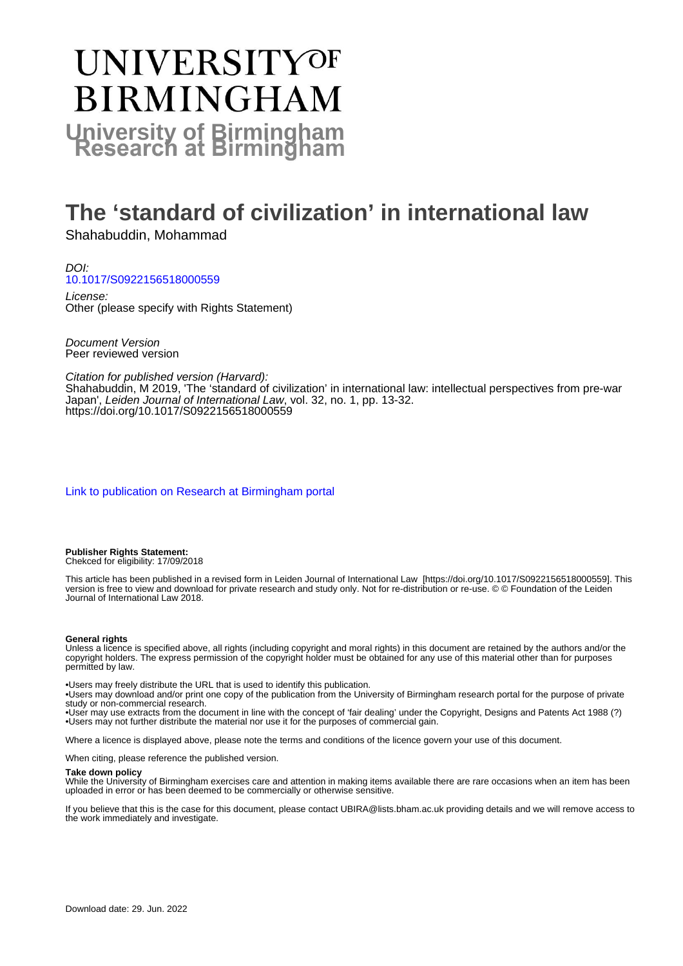# UNIVERSITYOF **BIRMINGHAM University of Birmingham**

## **The 'standard of civilization' in international law**

Shahabuddin, Mohammad

DOI: [10.1017/S0922156518000559](https://doi.org/10.1017/S0922156518000559)

License: Other (please specify with Rights Statement)

Document Version Peer reviewed version

Citation for published version (Harvard): Shahabuddin, M 2019, 'The 'standard of civilization' in international law: intellectual perspectives from pre-war Japan', Leiden Journal of International Law, vol. 32, no. 1, pp. 13-32. <https://doi.org/10.1017/S0922156518000559>

[Link to publication on Research at Birmingham portal](https://birmingham.elsevierpure.com/en/publications/f666c159-6cc4-41a7-b171-e7497a08f135)

**Publisher Rights Statement:** Chekced for eligibility: 17/09/2018

This article has been published in a revised form in Leiden Journal of International Law [https://doi.org/10.1017/S0922156518000559]. This version is free to view and download for private research and study only. Not for re-distribution or re-use. © © Foundation of the Leiden Journal of International Law 2018.

#### **General rights**

Unless a licence is specified above, all rights (including copyright and moral rights) in this document are retained by the authors and/or the copyright holders. The express permission of the copyright holder must be obtained for any use of this material other than for purposes permitted by law.

• Users may freely distribute the URL that is used to identify this publication.

• Users may download and/or print one copy of the publication from the University of Birmingham research portal for the purpose of private study or non-commercial research.

• User may use extracts from the document in line with the concept of 'fair dealing' under the Copyright, Designs and Patents Act 1988 (?) • Users may not further distribute the material nor use it for the purposes of commercial gain.

Where a licence is displayed above, please note the terms and conditions of the licence govern your use of this document.

When citing, please reference the published version.

#### **Take down policy**

While the University of Birmingham exercises care and attention in making items available there are rare occasions when an item has been uploaded in error or has been deemed to be commercially or otherwise sensitive.

If you believe that this is the case for this document, please contact UBIRA@lists.bham.ac.uk providing details and we will remove access to the work immediately and investigate.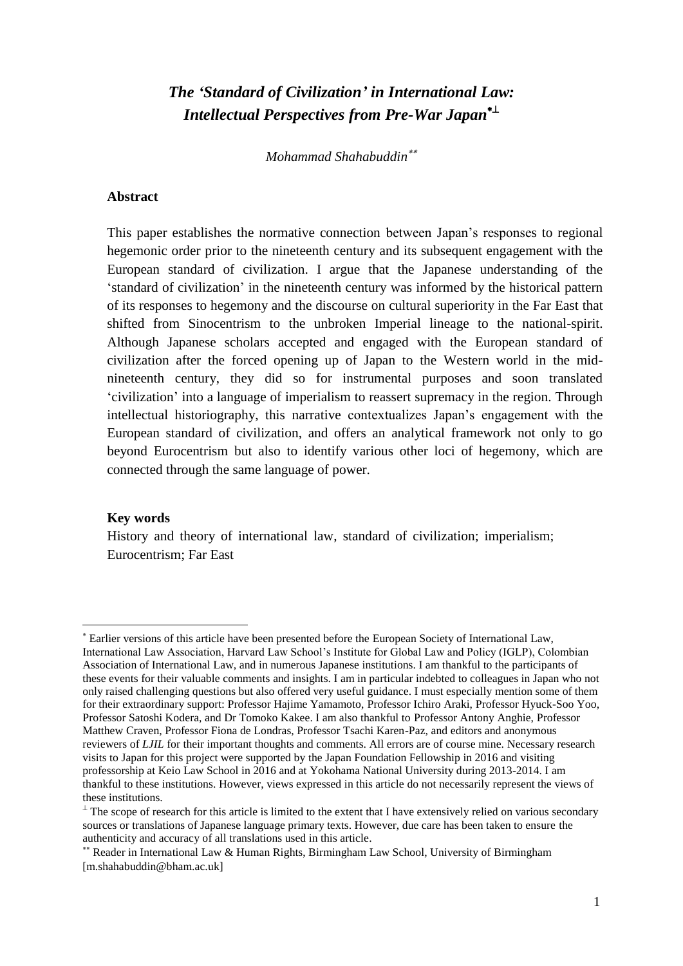## *The 'Standard of Civilization' in International Law: Intellectual Perspectives from Pre-War Japan*

*Mohammad Shahabuddin*

### **Abstract**

This paper establishes the normative connection between Japan's responses to regional hegemonic order prior to the nineteenth century and its subsequent engagement with the European standard of civilization. I argue that the Japanese understanding of the 'standard of civilization' in the nineteenth century was informed by the historical pattern of its responses to hegemony and the discourse on cultural superiority in the Far East that shifted from Sinocentrism to the unbroken Imperial lineage to the national-spirit. Although Japanese scholars accepted and engaged with the European standard of civilization after the forced opening up of Japan to the Western world in the midnineteenth century, they did so for instrumental purposes and soon translated 'civilization' into a language of imperialism to reassert supremacy in the region. Through intellectual historiography, this narrative contextualizes Japan's engagement with the European standard of civilization, and offers an analytical framework not only to go beyond Eurocentrism but also to identify various other loci of hegemony, which are connected through the same language of power.

#### **Key words**

**.** 

History and theory of international law, standard of civilization; imperialism; Eurocentrism; Far East

Earlier versions of this article have been presented before the European Society of International Law, International Law Association, Harvard Law School's Institute for Global Law and Policy (IGLP), Colombian Association of International Law, and in numerous Japanese institutions. I am thankful to the participants of these events for their valuable comments and insights. I am in particular indebted to colleagues in Japan who not only raised challenging questions but also offered very useful guidance. I must especially mention some of them for their extraordinary support: Professor Hajime Yamamoto, Professor Ichiro Araki, Professor Hyuck-Soo Yoo, Professor Satoshi Kodera, and Dr Tomoko Kakee. I am also thankful to Professor Antony Anghie, Professor Matthew Craven, Professor Fiona de Londras, Professor Tsachi Karen-Paz, and editors and anonymous reviewers of *LJIL* for their important thoughts and comments. All errors are of course mine. Necessary research visits to Japan for this project were supported by the Japan Foundation Fellowship in 2016 and visiting professorship at Keio Law School in 2016 and at Yokohama National University during 2013-2014. I am thankful to these institutions. However, views expressed in this article do not necessarily represent the views of these institutions.

<sup>&</sup>lt;sup> $\perp$ </sup> The scope of research for this article is limited to the extent that I have extensively relied on various secondary sources or translations of Japanese language primary texts. However, due care has been taken to ensure the authenticity and accuracy of all translations used in this article.

<sup>\*\*</sup> Reader in International Law & Human Rights, Birmingham Law School, University of Birmingham [m.shahabuddin@bham.ac.uk]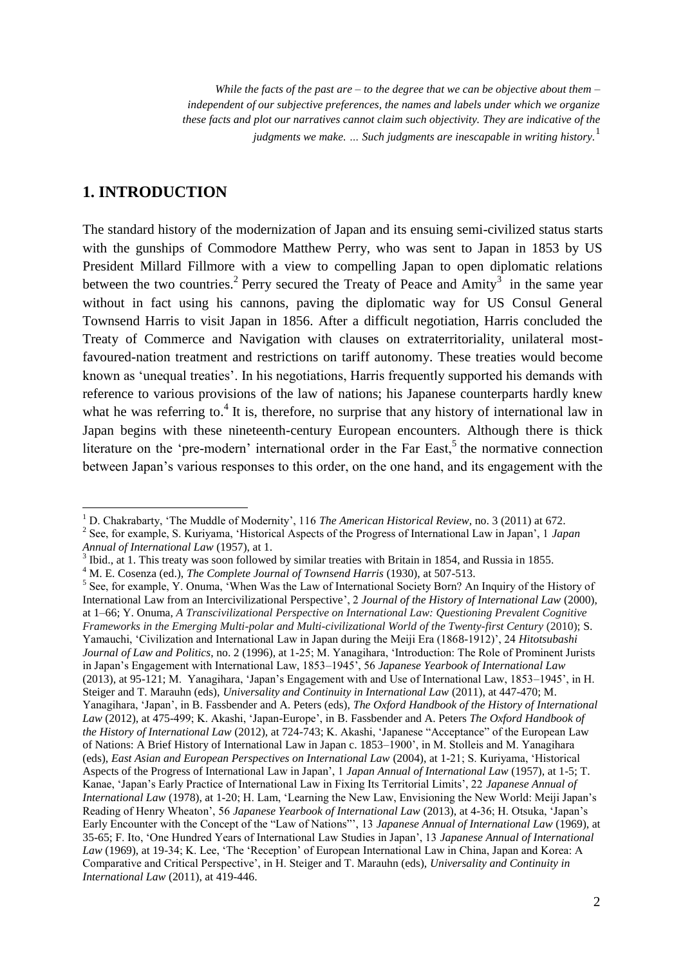*While the facts of the past are – to the degree that we can be objective about them – independent of our subjective preferences, the names and labels under which we organize these facts and plot our narratives cannot claim such objectivity. They are indicative of the judgments we make. ... Such judgments are inescapable in writing history.*<sup>1</sup>

## **1. INTRODUCTION**

1

The standard history of the modernization of Japan and its ensuing semi-civilized status starts with the gunships of Commodore Matthew Perry, who was sent to Japan in 1853 by US President Millard Fillmore with a view to compelling Japan to open diplomatic relations between the two countries.<sup>2</sup> Perry secured the Treaty of Peace and Amity<sup>3</sup> in the same year without in fact using his cannons, paving the diplomatic way for US Consul General Townsend Harris to visit Japan in 1856. After a difficult negotiation, Harris concluded the Treaty of Commerce and Navigation with clauses on extraterritoriality, unilateral mostfavoured-nation treatment and restrictions on tariff autonomy. These treaties would become known as 'unequal treaties'. In his negotiations, Harris frequently supported his demands with reference to various provisions of the law of nations; his Japanese counterparts hardly knew what he was referring to.<sup>4</sup> It is, therefore, no surprise that any history of international law in Japan begins with these nineteenth-century European encounters. Although there is thick literature on the 'pre-modern' international order in the Far East,<sup>5</sup> the normative connection between Japan's various responses to this order, on the one hand, and its engagement with the

<sup>1</sup> D. Chakrabarty, 'The Muddle of Modernity', 116 *The American Historical Review*, no. 3 (2011) at 672. 2 See, for example, S. Kuriyama, 'Historical Aspects of the Progress of International Law in Japan', 1 *Japan Annual of International Law* (1957), at 1.

<sup>3</sup> Ibid., at 1. This treaty was soon followed by similar treaties with Britain in 1854, and Russia in 1855.

<sup>4</sup> M. E. Cosenza (ed.), *The Complete Journal of Townsend Harris* (1930), at 507-513.

<sup>&</sup>lt;sup>5</sup> See, for example, Y. Onuma, 'When Was the Law of International Society Born? An Inquiry of the History of International Law from an Intercivilizational Perspective', 2 *Journal of the History of International Law* (2000), at 1–66; Y. Onuma, *A Transcivilizational Perspective on International Law: Questioning Prevalent Cognitive Frameworks in the Emerging Multi-polar and Multi-civilizational World of the Twenty-first Century* (2010); S. Yamauchi, 'Civilization and International Law in Japan during the Meiji Era (1868-1912)', 24 *Hitotsubashi Journal of Law and Politics*, no. 2 (1996), at 1-25; M. Yanagihara, 'Introduction: The Role of Prominent Jurists in Japan's Engagement with International Law, 1853–1945', 56 *Japanese Yearbook of International Law* (2013), at 95-121; M. Yanagihara, 'Japan's Engagement with and Use of International Law, 1853–1945', in H. Steiger and T. Marauhn (eds), *Universality and Continuity in International Law* (2011), at 447-470; M. Yanagihara, 'Japan', in B. Fassbender and A. Peters (eds), *The Oxford Handbook of the History of International Law* (2012), at 475-499; K. Akashi, 'Japan-Europe', in B. Fassbender and A. Peters *The Oxford Handbook of the History of International Law* (2012), at 724-743; K. Akashi, 'Japanese "Acceptance" of the European Law of Nations: A Brief History of International Law in Japan c. 1853–1900', in M. Stolleis and M. Yanagihara (eds), *East Asian and European Perspectives on International Law* (2004), at 1-21; S. Kuriyama, 'Historical Aspects of the Progress of International Law in Japan', 1 *Japan Annual of International Law* (1957), at 1-5; T. Kanae, 'Japan's Early Practice of International Law in Fixing Its Territorial Limits', 22 *Japanese Annual of International Law* (1978), at 1-20; H. Lam, 'Learning the New Law, Envisioning the New World: Meiji Japan's Reading of Henry Wheaton', 56 *Japanese Yearbook of International Law* (2013), at 4-36; H. Otsuka, 'Japan's Early Encounter with the Concept of the "Law of Nations"', 13 *Japanese Annual of International Law* (1969), at 35-65; F. Ito, 'One Hundred Years of International Law Studies in Japan', 13 *Japanese Annual of International Law* (1969), at 19-34; K. Lee, 'The 'Reception' of European International Law in China, Japan and Korea: A Comparative and Critical Perspective', in H. Steiger and T. Marauhn (eds), *Universality and Continuity in International Law* (2011), at 419-446.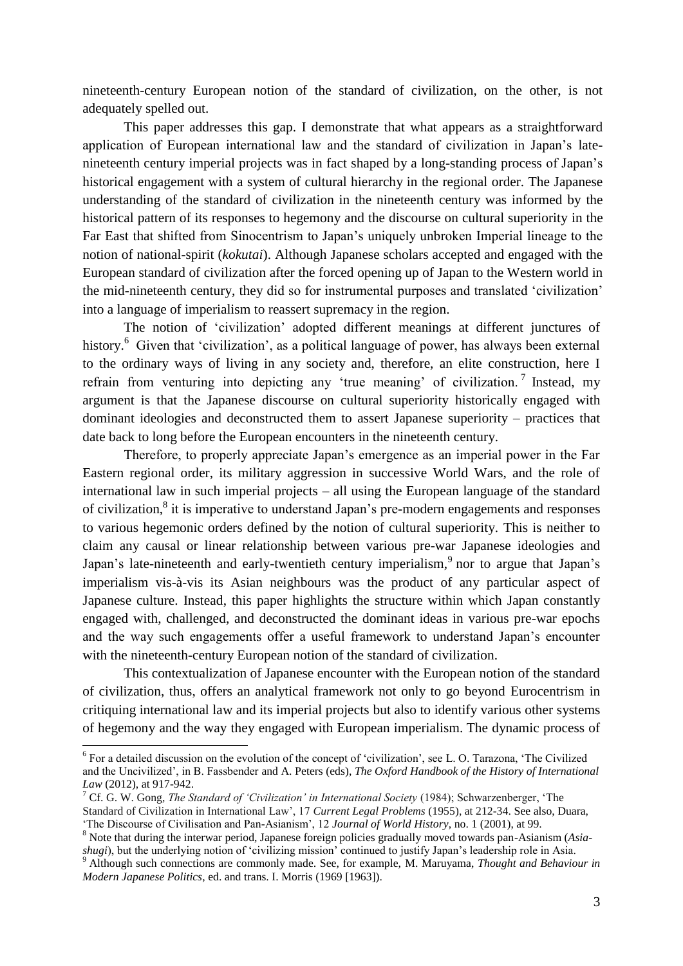nineteenth-century European notion of the standard of civilization, on the other, is not adequately spelled out.

This paper addresses this gap. I demonstrate that what appears as a straightforward application of European international law and the standard of civilization in Japan's latenineteenth century imperial projects was in fact shaped by a long-standing process of Japan's historical engagement with a system of cultural hierarchy in the regional order. The Japanese understanding of the standard of civilization in the nineteenth century was informed by the historical pattern of its responses to hegemony and the discourse on cultural superiority in the Far East that shifted from Sinocentrism to Japan's uniquely unbroken Imperial lineage to the notion of national-spirit (*kokutai*). Although Japanese scholars accepted and engaged with the European standard of civilization after the forced opening up of Japan to the Western world in the mid-nineteenth century, they did so for instrumental purposes and translated 'civilization' into a language of imperialism to reassert supremacy in the region.

The notion of 'civilization' adopted different meanings at different junctures of history.<sup>6</sup> Given that 'civilization', as a political language of power, has always been external to the ordinary ways of living in any society and, therefore, an elite construction, here I refrain from venturing into depicting any 'true meaning' of civilization.<sup>7</sup> Instead, my argument is that the Japanese discourse on cultural superiority historically engaged with dominant ideologies and deconstructed them to assert Japanese superiority – practices that date back to long before the European encounters in the nineteenth century.

Therefore, to properly appreciate Japan's emergence as an imperial power in the Far Eastern regional order, its military aggression in successive World Wars, and the role of international law in such imperial projects – all using the European language of the standard of civilization,<sup>8</sup> it is imperative to understand Japan's pre-modern engagements and responses to various hegemonic orders defined by the notion of cultural superiority. This is neither to claim any causal or linear relationship between various pre-war Japanese ideologies and Japan's late-nineteenth and early-twentieth century imperialism, nor to argue that Japan's imperialism vis-à-vis its Asian neighbours was the product of any particular aspect of Japanese culture. Instead, this paper highlights the structure within which Japan constantly engaged with, challenged, and deconstructed the dominant ideas in various pre-war epochs and the way such engagements offer a useful framework to understand Japan's encounter with the nineteenth-century European notion of the standard of civilization.

This contextualization of Japanese encounter with the European notion of the standard of civilization, thus, offers an analytical framework not only to go beyond Eurocentrism in critiquing international law and its imperial projects but also to identify various other systems of hegemony and the way they engaged with European imperialism. The dynamic process of

<sup>&</sup>lt;sup>6</sup> For a detailed discussion on the evolution of the concept of 'civilization', see L. O. Tarazona, 'The Civilized and the Uncivilized', in B. Fassbender and A. Peters (eds), *The Oxford Handbook of the History of International Law* (2012), at 917-942.

<sup>7</sup> Cf. G. W. Gong, *The Standard of 'Civilization' in International Society* (1984); Schwarzenberger, 'The Standard of Civilization in International Law', 17 *Current Legal Problems* (1955), at 212-34. See also, Duara, 'The Discourse of Civilisation and Pan-Asianism', 12 *Journal of World History*, no. 1 (2001), at 99.

<sup>8</sup> Note that during the interwar period, Japanese foreign policies gradually moved towards pan-Asianism (*Asiashugi*), but the underlying notion of 'civilizing mission' continued to justify Japan's leadership role in Asia.

<sup>9</sup> Although such connections are commonly made. See, for example, M. Maruyama, *Thought and Behaviour in Modern Japanese Politics*, ed. and trans. I. Morris (1969 [1963]).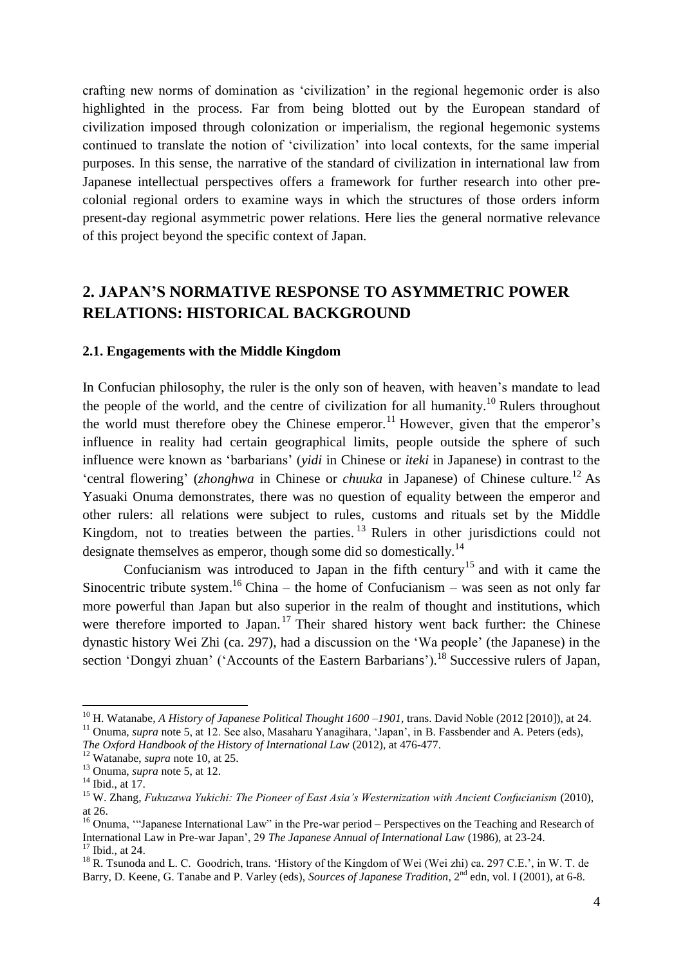crafting new norms of domination as 'civilization' in the regional hegemonic order is also highlighted in the process. Far from being blotted out by the European standard of civilization imposed through colonization or imperialism, the regional hegemonic systems continued to translate the notion of 'civilization' into local contexts, for the same imperial purposes. In this sense, the narrative of the standard of civilization in international law from Japanese intellectual perspectives offers a framework for further research into other precolonial regional orders to examine ways in which the structures of those orders inform present-day regional asymmetric power relations. Here lies the general normative relevance of this project beyond the specific context of Japan.

## **2. JAPAN'S NORMATIVE RESPONSE TO ASYMMETRIC POWER RELATIONS: HISTORICAL BACKGROUND**

#### **2.1. Engagements with the Middle Kingdom**

In Confucian philosophy, the ruler is the only son of heaven, with heaven's mandate to lead the people of the world, and the centre of civilization for all humanity.<sup>10</sup> Rulers throughout the world must therefore obey the Chinese emperor.<sup>11</sup> However, given that the emperor's influence in reality had certain geographical limits, people outside the sphere of such influence were known as 'barbarians' (*yidi* in Chinese or *iteki* in Japanese) in contrast to the 'central flowering' (*zhonghwa* in Chinese or *chuuka* in Japanese) of Chinese culture.<sup>12</sup> As Yasuaki Onuma demonstrates, there was no question of equality between the emperor and other rulers: all relations were subject to rules, customs and rituals set by the Middle Kingdom, not to treaties between the parties.  $13$  Rulers in other jurisdictions could not designate themselves as emperor, though some did so domestically.<sup>14</sup>

Confucianism was introduced to Japan in the fifth century<sup>15</sup> and with it came the Sinocentric tribute system.<sup>16</sup> China – the home of Confucianism – was seen as not only far more powerful than Japan but also superior in the realm of thought and institutions, which were therefore imported to Japan.<sup>17</sup> Their shared history went back further: the Chinese dynastic history Wei Zhi (ca. 297), had a discussion on the 'Wa people' (the Japanese) in the section 'Dongyi zhuan' ('Accounts of the Eastern Barbarians').<sup>18</sup> Successive rulers of Japan,

 $\overline{a}$ 

<sup>10</sup> H. Watanabe, *A History of Japanese Political Thought 1600 –1901*, trans. David Noble (2012 [2010]), at 24. <sup>11</sup> Onuma, *supra* note 5, at 12. See also, Masaharu Yanagihara, 'Japan', in B. Fassbender and A. Peters (eds),

*The Oxford Handbook of the History of International Law* (2012), at 476-477.

<sup>12</sup> Watanabe, *supra* note 10, at 25.

<sup>13</sup> Onuma, *supra* note 5, at 12.

<sup>&</sup>lt;sup>14</sup> Ibid., at 17.

<sup>15</sup> W. Zhang, *Fukuzawa Yukichi: The Pioneer of East Asia's Westernization with Ancient Confucianism* (2010), at 26.

<sup>&</sup>lt;sup>16</sup> Onuma, "Japanese International Law" in the Pre-war period – Perspectives on the Teaching and Research of International Law in Pre-war Japan', 29 *The Japanese Annual of International Law* (1986), at 23-24. <sup>17</sup> Ibid., at 24.

<sup>&</sup>lt;sup>18</sup> R. Tsunoda and L. C. Goodrich, trans. 'History of the Kingdom of Wei (Wei zhi) ca. 297 C.E.', in W. T. de Barry, D. Keene, G. Tanabe and P. Varley (eds), *Sources of Japanese Tradition*, 2nd edn, vol. I (2001), at 6-8.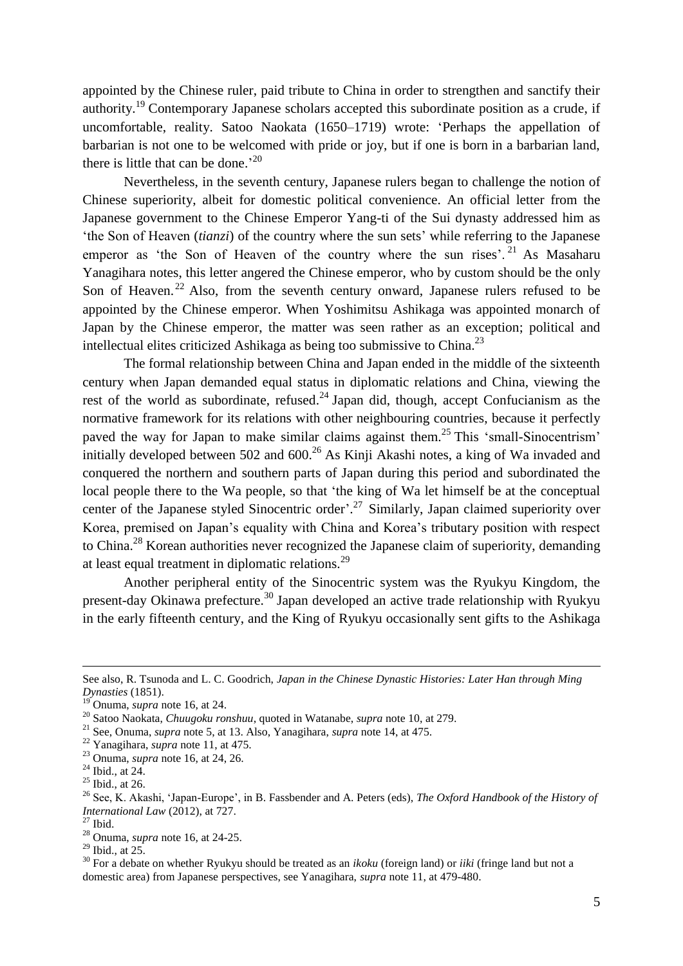appointed by the Chinese ruler, paid tribute to China in order to strengthen and sanctify their authority.<sup>19</sup> Contemporary Japanese scholars accepted this subordinate position as a crude, if uncomfortable, reality. Satoo Naokata (1650–1719) wrote: 'Perhaps the appellation of barbarian is not one to be welcomed with pride or joy, but if one is born in a barbarian land, there is little that can be done.<sup> $20$ </sup>

Nevertheless, in the seventh century, Japanese rulers began to challenge the notion of Chinese superiority, albeit for domestic political convenience. An official letter from the Japanese government to the Chinese Emperor Yang-ti of the Sui dynasty addressed him as 'the Son of Heaven (*tianzi*) of the country where the sun sets' while referring to the Japanese emperor as 'the Son of Heaven of the country where the sun rises'.<sup>21</sup> As Masaharu Yanagihara notes, this letter angered the Chinese emperor, who by custom should be the only Son of Heaven.<sup>22</sup> Also, from the seventh century onward, Japanese rulers refused to be appointed by the Chinese emperor. When Yoshimitsu Ashikaga was appointed monarch of Japan by the Chinese emperor, the matter was seen rather as an exception; political and intellectual elites criticized Ashikaga as being too submissive to China.<sup>23</sup>

The formal relationship between China and Japan ended in the middle of the sixteenth century when Japan demanded equal status in diplomatic relations and China, viewing the rest of the world as subordinate, refused. $^{24}$  Japan did, though, accept Confucianism as the normative framework for its relations with other neighbouring countries, because it perfectly paved the way for Japan to make similar claims against them.<sup>25</sup> This 'small-Sinocentrism' initially developed between 502 and  $600<sup>26</sup>$  As Kinji Akashi notes, a king of Wa invaded and conquered the northern and southern parts of Japan during this period and subordinated the local people there to the Wa people, so that 'the king of Wa let himself be at the conceptual center of the Japanese styled Sinocentric order'.<sup>27</sup> Similarly, Japan claimed superiority over Korea, premised on Japan's equality with China and Korea's tributary position with respect to China.<sup>28</sup> Korean authorities never recognized the Japanese claim of superiority, demanding at least equal treatment in diplomatic relations.<sup>29</sup>

Another peripheral entity of the Sinocentric system was the Ryukyu Kingdom, the present-day Okinawa prefecture.<sup>30</sup> Japan developed an active trade relationship with Ryukyu in the early fifteenth century, and the King of Ryukyu occasionally sent gifts to the Ashikaga

See also, R. Tsunoda and L. C. Goodrich, *Japan in the Chinese Dynastic Histories: Later Han through Ming Dynasties* (1851).

<sup>19</sup> Onuma, *supra* note 16, at 24.

<sup>20</sup> Satoo Naokata, *Chuugoku ronshuu*, quoted in Watanabe, *supra* note 10, at 279.

<sup>21</sup> See, Onuma, *supra* note 5, at 13. Also, Yanagihara, *supra* note 14, at 475.

<sup>22</sup> Yanagihara, *supra* note 11, at 475.

<sup>23</sup> Onuma, *supra* note 16, at 24, 26.

<sup>24</sup> Ibid., at 24.

<sup>25</sup> Ibid., at 26.

<sup>26</sup> See, K. Akashi, 'Japan-Europe', in B. Fassbender and A. Peters (eds), *The Oxford Handbook of the History of International Law* (2012), at 727.

 $27$  Ibid.

<sup>28</sup> Onuma, *supra* note 16, at 24-25.

 $29$  Ibid., at 25.

<sup>30</sup> For a debate on whether Ryukyu should be treated as an *ikoku* (foreign land) or *iiki* (fringe land but not a domestic area) from Japanese perspectives, see Yanagihara, *supra* note 11, at 479-480.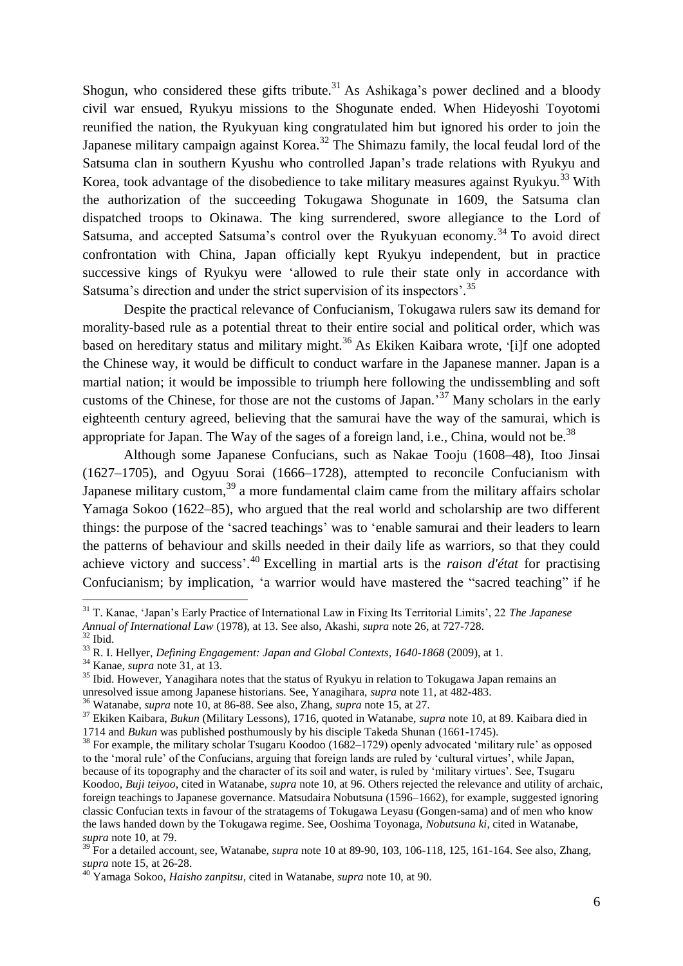Shogun, who considered these gifts tribute. $31$  As Ashikaga's power declined and a bloody civil war ensued, Ryukyu missions to the Shogunate ended. When Hideyoshi Toyotomi reunified the nation, the Ryukyuan king congratulated him but ignored his order to join the Japanese military campaign against Korea.<sup>32</sup> The Shimazu family, the local feudal lord of the Satsuma clan in southern Kyushu who controlled Japan's trade relations with Ryukyu and Korea, took advantage of the disobedience to take military measures against Ryukyu.<sup>33</sup> With the authorization of the succeeding Tokugawa Shogunate in 1609, the Satsuma clan dispatched troops to Okinawa. The king surrendered, swore allegiance to the Lord of Satsuma, and accepted Satsuma's control over the Ryukyuan economy.<sup>34</sup> To avoid direct confrontation with China, Japan officially kept Ryukyu independent, but in practice successive kings of Ryukyu were 'allowed to rule their state only in accordance with Satsuma's direction and under the strict supervision of its inspectors'.<sup>35</sup>

Despite the practical relevance of Confucianism, Tokugawa rulers saw its demand for morality-based rule as a potential threat to their entire social and political order, which was based on hereditary status and military might.<sup>36</sup> As Ekiken Kaibara wrote, '[i]f one adopted the Chinese way, it would be difficult to conduct warfare in the Japanese manner. Japan is a martial nation; it would be impossible to triumph here following the undissembling and soft customs of the Chinese, for those are not the customs of Japan.<sup>37</sup> Many scholars in the early eighteenth century agreed, believing that the samurai have the way of the samurai, which is appropriate for Japan. The Way of the sages of a foreign land, i.e., China, would not be.<sup>38</sup>

Although some Japanese Confucians, such as Nakae Tooju (1608–48), Itoo Jinsai (1627–1705), and Ogyuu Sorai (1666–1728), attempted to reconcile Confucianism with Japanese military custom, $39$  a more fundamental claim came from the military affairs scholar Yamaga Sokoo (1622–85), who argued that the real world and scholarship are two different things: the purpose of the 'sacred teachings' was to 'enable samurai and their leaders to learn the patterns of behaviour and skills needed in their daily life as warriors, so that they could achieve victory and success'. <sup>40</sup> Excelling in martial arts is the *raison d'état* for practising Confucianism; by implication, 'a warrior would have mastered the "sacred teaching" if he

<sup>31</sup> T. Kanae, 'Japan's Early Practice of International Law in Fixing Its Territorial Limits', 22 *The Japanese Annual of International Law* (1978), at 13. See also, Akashi, *supra* note 26, at 727-728.  $32$  Ibid.

<sup>33</sup> R. I. Hellyer, *Defining Engagement: Japan and Global Contexts, 1640-1868* (2009), at 1.

<sup>34</sup> Kanae, *supra* note 31, at 13.

<sup>&</sup>lt;sup>35</sup> Ibid. However, Yanagihara notes that the status of Ryukyu in relation to Tokugawa Japan remains an unresolved issue among Japanese historians. See, Yanagihara, *supra* note 11, at 482-483.

<sup>36</sup> Watanabe, *supra* note 10, at 86-88. See also, Zhang, *supra* note 15, at 27.

<sup>37</sup> Ekiken Kaibara, *Bukun* (Military Lessons), 1716, quoted in Watanabe, *supra* note 10, at 89. Kaibara died in 1714 and *Bukun* was published posthumously by his disciple Takeda Shunan (1661-1745).

<sup>&</sup>lt;sup>38</sup> For example, the military scholar Tsugaru Koodoo (1682–1729) openly advocated 'military rule' as opposed to the 'moral rule' of the Confucians, arguing that foreign lands are ruled by 'cultural virtues', while Japan, because of its topography and the character of its soil and water, is ruled by 'military virtues'. See, Tsugaru Koodoo, *Buji teiyoo*, cited in Watanabe, *supra* note 10, at 96. Others rejected the relevance and utility of archaic, foreign teachings to Japanese governance. Matsudaira Nobutsuna (1596–1662), for example, suggested ignoring classic Confucian texts in favour of the stratagems of Tokugawa Leyasu (Gongen-sama) and of men who know the laws handed down by the Tokugawa regime. See, Ooshima Toyonaga, *Nobutsuna ki*, cited in Watanabe, *supra* note 10, at 79.

<sup>39</sup> For a detailed account, see, Watanabe, *supra* note 10 at 89-90, 103, 106-118, 125, 161-164. See also, Zhang, *supra* note 15, at 26-28.

<sup>40</sup> Yamaga Sokoo, *Haisho zanpitsu*, cited in Watanabe, *supra* note 10, at 90.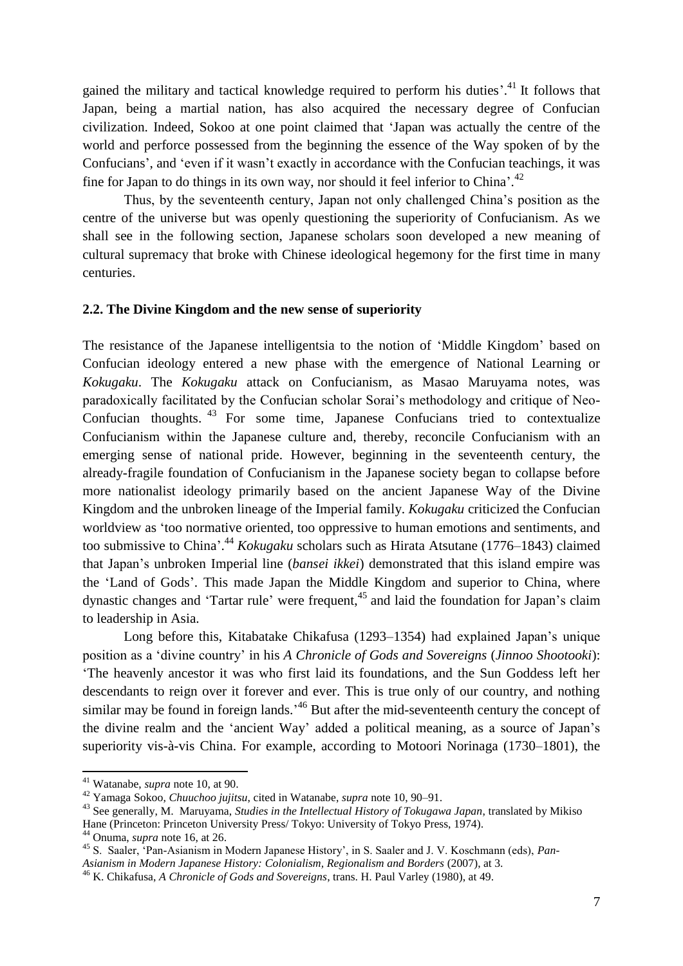gained the military and tactical knowledge required to perform his duties'.<sup>41</sup> It follows that Japan, being a martial nation, has also acquired the necessary degree of Confucian civilization. Indeed, Sokoo at one point claimed that 'Japan was actually the centre of the world and perforce possessed from the beginning the essence of the Way spoken of by the Confucians', and 'even if it wasn't exactly in accordance with the Confucian teachings, it was fine for Japan to do things in its own way, nor should it feel inferior to China'.<sup>42</sup>

Thus, by the seventeenth century, Japan not only challenged China's position as the centre of the universe but was openly questioning the superiority of Confucianism. As we shall see in the following section, Japanese scholars soon developed a new meaning of cultural supremacy that broke with Chinese ideological hegemony for the first time in many centuries.

#### **2.2. The Divine Kingdom and the new sense of superiority**

The resistance of the Japanese intelligentsia to the notion of 'Middle Kingdom' based on Confucian ideology entered a new phase with the emergence of National Learning or *Kokugaku*. The *Kokugaku* attack on Confucianism, as Masao Maruyama notes, was paradoxically facilitated by the Confucian scholar Sorai's methodology and critique of Neo-Confucian thoughts. <sup>43</sup> For some time, Japanese Confucians tried to contextualize Confucianism within the Japanese culture and, thereby, reconcile Confucianism with an emerging sense of national pride. However, beginning in the seventeenth century, the already-fragile foundation of Confucianism in the Japanese society began to collapse before more nationalist ideology primarily based on the ancient Japanese Way of the Divine Kingdom and the unbroken lineage of the Imperial family. *Kokugaku* criticized the Confucian worldview as 'too normative oriented, too oppressive to human emotions and sentiments, and too submissive to China'. <sup>44</sup> *Kokugaku* scholars such as Hirata Atsutane (1776–1843) claimed that Japan's unbroken Imperial line (*bansei ikkei*) demonstrated that this island empire was the 'Land of Gods'. This made Japan the Middle Kingdom and superior to China, where dynastic changes and 'Tartar rule' were frequent,<sup>45</sup> and laid the foundation for Japan's claim to leadership in Asia.

Long before this, Kitabatake Chikafusa (1293–1354) had explained Japan's unique position as a 'divine country' in his *A Chronicle of Gods and Sovereigns* (*Jinnoo Shootooki*): 'The heavenly ancestor it was who first laid its foundations, and the Sun Goddess left her descendants to reign over it forever and ever. This is true only of our country, and nothing similar may be found in foreign lands.<sup>46</sup> But after the mid-seventeenth century the concept of the divine realm and the 'ancient Way' added a political meaning, as a source of Japan's superiority vis-à-vis China. For example, according to Motoori Norinaga (1730–1801), the

<sup>41</sup> Watanabe, *supra* note 10, at 90.

<sup>42</sup> Yamaga Sokoo, *Chuuchoo jujitsu*, cited in Watanabe, *supra* note 10, 90–91.

<sup>43</sup> See generally, M. Maruyama, *Studies in the Intellectual History of Tokugawa Japan*, translated by Mikiso Hane (Princeton: Princeton University Press/ Tokyo: University of Tokyo Press, 1974).

<sup>44</sup> Onuma, *supra* note 16, at 26.

<sup>45</sup> S. Saaler, 'Pan-Asianism in Modern Japanese History', in S. Saaler and J. V. Koschmann (eds), *Pan-*

*Asianism in Modern Japanese History: Colonialism, Regionalism and Borders* (2007), at 3.

<sup>46</sup> K. Chikafusa, *A Chronicle of Gods and Sovereigns*, trans. H. Paul Varley (1980), at 49.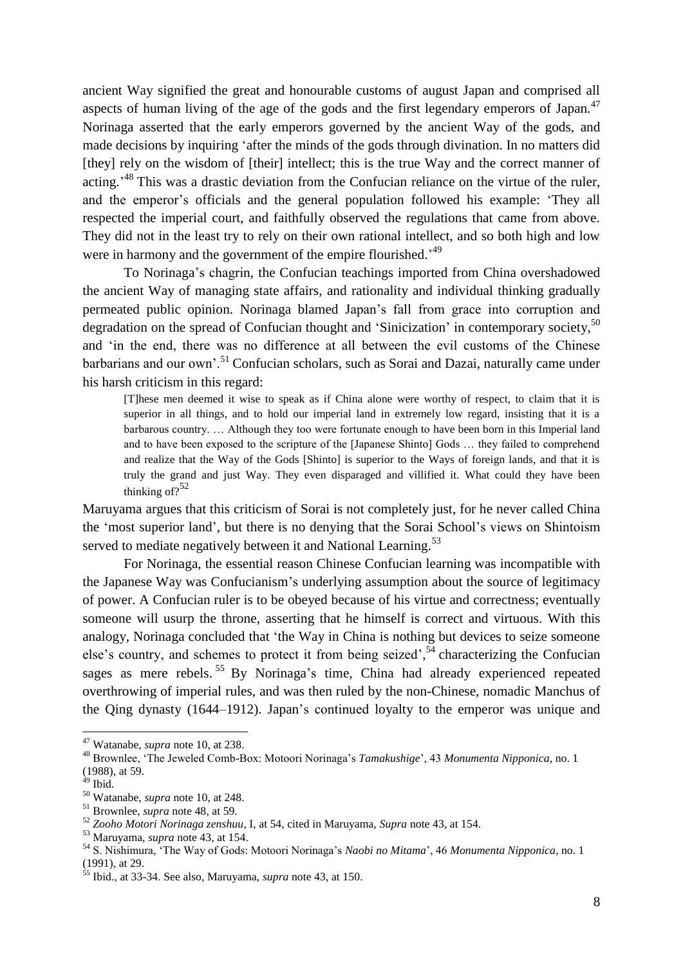ancient Way signified the great and honourable customs of august Japan and comprised all aspects of human living of the age of the gods and the first legendary emperors of Japan. $47$ Norinaga asserted that the early emperors governed by the ancient Way of the gods, and made decisions by inquiring 'after the minds of the gods through divination. In no matters did [they] rely on the wisdom of [their] intellect; this is the true Way and the correct manner of acting.<sup>48</sup> This was a drastic deviation from the Confucian reliance on the virtue of the ruler, and the emperor's officials and the general population followed his example: 'They all respected the imperial court, and faithfully observed the regulations that came from above. They did not in the least try to rely on their own rational intellect, and so both high and low were in harmony and the government of the empire flourished.<sup>149</sup>

To Norinaga's chagrin, the Confucian teachings imported from China overshadowed the ancient Way of managing state affairs, and rationality and individual thinking gradually permeated public opinion. Norinaga blamed Japan's fall from grace into corruption and degradation on the spread of Confucian thought and 'Sinicization' in contemporary society,<sup>50</sup> and 'in the end, there was no difference at all between the evil customs of the Chinese barbarians and our own<sup>51</sup> Confucian scholars, such as Sorai and Dazai, naturally came under his harsh criticism in this regard:

[T]hese men deemed it wise to speak as if China alone were worthy of respect, to claim that it is superior in all things, and to hold our imperial land in extremely low regard, insisting that it is a barbarous country. … Although they too were fortunate enough to have been born in this Imperial land and to have been exposed to the scripture of the [Japanese Shinto] Gods … they failed to comprehend and realize that the Way of the Gods [Shinto] is superior to the Ways of foreign lands, and that it is truly the grand and just Way. They even disparaged and villified it. What could they have been thinking of  $2^{52}$ 

Maruyama argues that this criticism of Sorai is not completely just, for he never called China the 'most superior land', but there is no denying that the Sorai School's views on Shintoism served to mediate negatively between it and National Learning.<sup>53</sup>

For Norinaga, the essential reason Chinese Confucian learning was incompatible with the Japanese Way was Confucianism's underlying assumption about the source of legitimacy of power. A Confucian ruler is to be obeyed because of his virtue and correctness; eventually someone will usurp the throne, asserting that he himself is correct and virtuous. With this analogy, Norinaga concluded that 'the Way in China is nothing but devices to seize someone else's country, and schemes to protect it from being seized',<sup>54</sup> characterizing the Confucian sages as mere rebels.<sup>55</sup> By Norinaga's time, China had already experienced repeated overthrowing of imperial rules, and was then ruled by the non-Chinese, nomadic Manchus of the Qing dynasty (1644–1912). Japan's continued loyalty to the emperor was unique and

**.** 

<sup>53</sup> Maruyama, *supra* note 43, at 154.

<sup>47</sup> Watanabe, *supra* note 10, at 238.

<sup>48</sup> Brownlee, 'The Jeweled Comb-Box: Motoori Norinaga's *Tamakushige*', 43 *Monumenta Nipponica*, no. 1 (1988), at 59.

 $49$  Ibid.

<sup>50</sup> Watanabe, *supra* note 10, at 248.

<sup>51</sup> Brownlee, *supra* note 48, at 59.

<sup>52</sup> *Zooho Motori Norinaga zenshuu*, I, at 54, cited in Maruyama, *Supra* note 43, at 154.

<sup>54</sup> S. Nishimura, 'The Way of Gods: Motoori Norinaga's *Naobi no Mitama*', 46 *Monumenta Nipponica*, no. 1 (1991), at 29.

<sup>55</sup> Ibid., at 33-34. See also, Maruyama, *supra* note 43, at 150.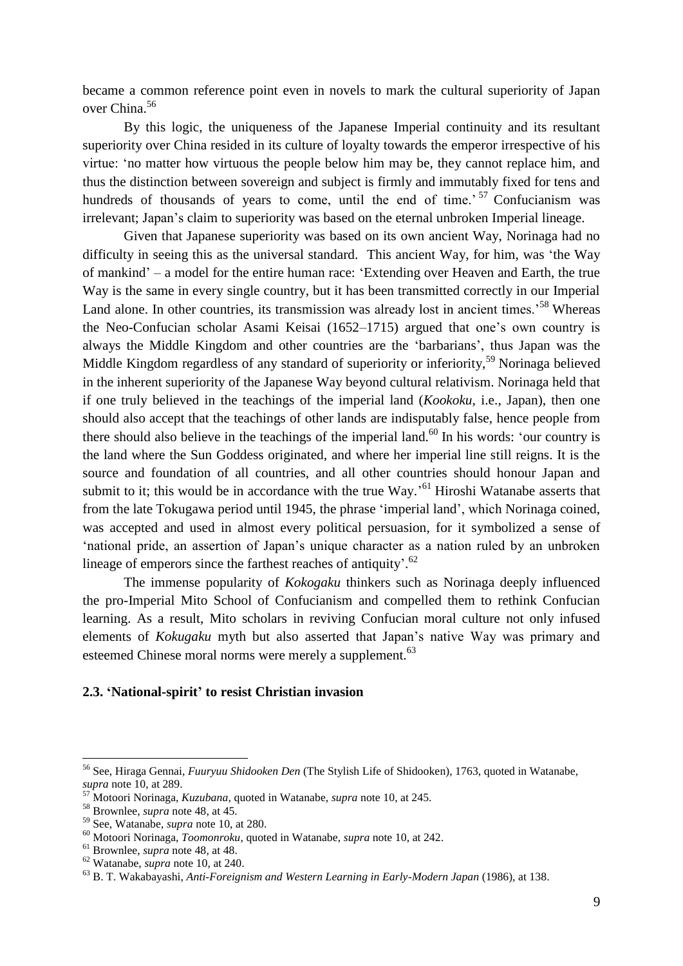became a common reference point even in novels to mark the cultural superiority of Japan over China.<sup>56</sup>

By this logic, the uniqueness of the Japanese Imperial continuity and its resultant superiority over China resided in its culture of loyalty towards the emperor irrespective of his virtue: 'no matter how virtuous the people below him may be, they cannot replace him, and thus the distinction between sovereign and subject is firmly and immutably fixed for tens and hundreds of thousands of years to come, until the end of time.'<sup>57</sup> Confucianism was irrelevant; Japan's claim to superiority was based on the eternal unbroken Imperial lineage.

Given that Japanese superiority was based on its own ancient Way, Norinaga had no difficulty in seeing this as the universal standard. This ancient Way, for him, was 'the Way of mankind' – a model for the entire human race: 'Extending over Heaven and Earth, the true Way is the same in every single country, but it has been transmitted correctly in our Imperial Land alone. In other countries, its transmission was already lost in ancient times.<sup>58</sup> Whereas the Neo-Confucian scholar Asami Keisai (1652–1715) argued that one's own country is always the Middle Kingdom and other countries are the 'barbarians', thus Japan was the Middle Kingdom regardless of any standard of superiority or inferiority,<sup>59</sup> Norinaga believed in the inherent superiority of the Japanese Way beyond cultural relativism. Norinaga held that if one truly believed in the teachings of the imperial land (*Kookoku,* i.e., Japan), then one should also accept that the teachings of other lands are indisputably false, hence people from there should also believe in the teachings of the imperial land.<sup>60</sup> In his words: 'our country is the land where the Sun Goddess originated, and where her imperial line still reigns. It is the source and foundation of all countries, and all other countries should honour Japan and submit to it; this would be in accordance with the true  $Way.^{61}$  Hiroshi Watanabe asserts that from the late Tokugawa period until 1945, the phrase 'imperial land', which Norinaga coined, was accepted and used in almost every political persuasion, for it symbolized a sense of 'national pride, an assertion of Japan's unique character as a nation ruled by an unbroken lineage of emperors since the farthest reaches of antiquity'.<sup>62</sup>

The immense popularity of *Kokogaku* thinkers such as Norinaga deeply influenced the pro-Imperial Mito School of Confucianism and compelled them to rethink Confucian learning. As a result, Mito scholars in reviving Confucian moral culture not only infused elements of *Kokugaku* myth but also asserted that Japan's native Way was primary and esteemed Chinese moral norms were merely a supplement.<sup>63</sup>

#### **2.3. 'National-spirit' to resist Christian invasion**

 $\overline{a}$ 

<sup>56</sup> See, Hiraga Gennai, *Fuuryuu Shidooken Den* (The Stylish Life of Shidooken), 1763, quoted in Watanabe, *supra* note 10, at 289.

<sup>57</sup> Motoori Norinaga, *Kuzubana*, quoted in Watanabe, *supra* note 10, at 245.

<sup>58</sup> Brownlee, *supra* note 48, at 45.

<sup>59</sup> See, Watanabe, *supra* note 10, at 280.

<sup>60</sup> Motoori Norinaga, *Toomonroku*, quoted in Watanabe, *supra* note 10, at 242.

<sup>61</sup> Brownlee, *supra* note 48, at 48.

<sup>62</sup> Watanabe, *supra* note 10, at 240.

<sup>63</sup> B. T. Wakabayashi, *Anti-Foreignism and Western Learning in Early-Modern Japan* (1986), at 138.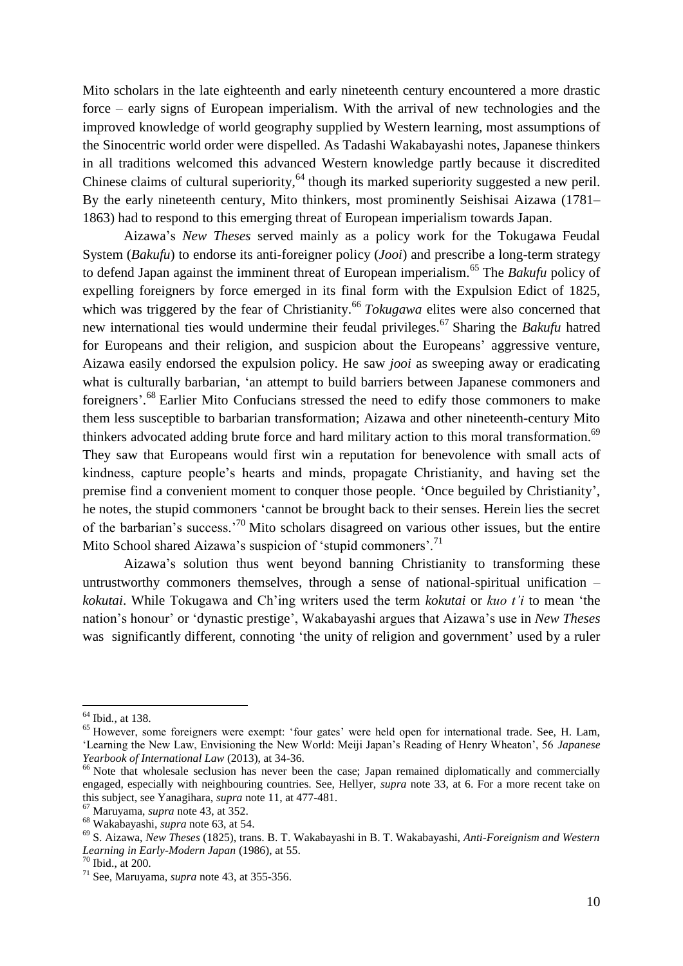Mito scholars in the late eighteenth and early nineteenth century encountered a more drastic force – early signs of European imperialism. With the arrival of new technologies and the improved knowledge of world geography supplied by Western learning, most assumptions of the Sinocentric world order were dispelled. As Tadashi Wakabayashi notes, Japanese thinkers in all traditions welcomed this advanced Western knowledge partly because it discredited Chinese claims of cultural superiority,<sup>64</sup> though its marked superiority suggested a new peril. By the early nineteenth century, Mito thinkers, most prominently Seishisai Aizawa (1781– 1863) had to respond to this emerging threat of European imperialism towards Japan.

Aizawa's *New Theses* served mainly as a policy work for the Tokugawa Feudal System (*Bakufu*) to endorse its anti-foreigner policy (*Jooi*) and prescribe a long-term strategy to defend Japan against the imminent threat of European imperialism.<sup>65</sup> The *Bakufu* policy of expelling foreigners by force emerged in its final form with the Expulsion Edict of 1825, which was triggered by the fear of Christianity.<sup>66</sup> *Tokugawa* elites were also concerned that new international ties would undermine their feudal privileges.<sup>67</sup> Sharing the *Bakufu* hatred for Europeans and their religion, and suspicion about the Europeans' aggressive venture, Aizawa easily endorsed the expulsion policy. He saw *jooi* as sweeping away or eradicating what is culturally barbarian, 'an attempt to build barriers between Japanese commoners and foreigners'.<sup>68</sup> Earlier Mito Confucians stressed the need to edify those commoners to make them less susceptible to barbarian transformation; Aizawa and other nineteenth-century Mito thinkers advocated adding brute force and hard military action to this moral transformation.<sup>69</sup> They saw that Europeans would first win a reputation for benevolence with small acts of kindness, capture people's hearts and minds, propagate Christianity, and having set the premise find a convenient moment to conquer those people. 'Once beguiled by Christianity', he notes, the stupid commoners 'cannot be brought back to their senses. Herein lies the secret of the barbarian's success.<sup>70</sup> Mito scholars disagreed on various other issues, but the entire Mito School shared Aizawa's suspicion of 'stupid commoners'.<sup>71</sup>

Aizawa's solution thus went beyond banning Christianity to transforming these untrustworthy commoners themselves, through a sense of national-spiritual unification – *kokutai*. While Tokugawa and Ch'ing writers used the term *kokutai* or *kuo t'i* to mean 'the nation's honour' or 'dynastic prestige', Wakabayashi argues that Aizawa's use in *New Theses* was significantly different, connoting 'the unity of religion and government' used by a ruler

 $\overline{a}$ 

<sup>64</sup> Ibid*.*, at 138.

<sup>65</sup> However, some foreigners were exempt: 'four gates' were held open for international trade. See, H. Lam, 'Learning the New Law, Envisioning the New World: Meiji Japan's Reading of Henry Wheaton', 56 *Japanese Yearbook of International Law* (2013), at 34-36.

<sup>&</sup>lt;sup>66</sup> Note that wholesale seclusion has never been the case; Japan remained diplomatically and commercially engaged, especially with neighbouring countries. See, Hellyer, *supra* note 33, at 6. For a more recent take on this subject, see Yanagihara, *supra* note 11, at 477-481.

<sup>67</sup> Maruyama, *supra* note 43, at 352.

<sup>68</sup> Wakabayashi, *supra* note 63, at 54.

<sup>69</sup> S. Aizawa, *New Theses* (1825), trans. B. T. Wakabayashi in B. T. Wakabayashi, *Anti-Foreignism and Western Learning in Early-Modern Japan* (1986), at 55.

 $70$  Ibid., at 200.

<sup>71</sup> See, Maruyama, *supra* note 43, at 355-356.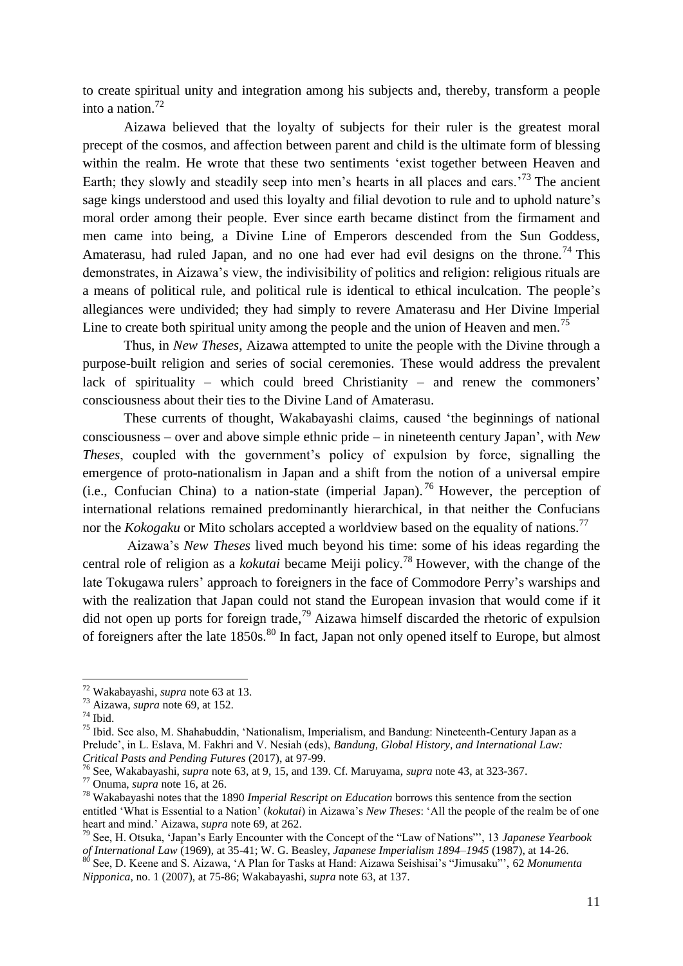to create spiritual unity and integration among his subjects and, thereby, transform a people into a nation. $72$ 

Aizawa believed that the loyalty of subjects for their ruler is the greatest moral precept of the cosmos, and affection between parent and child is the ultimate form of blessing within the realm. He wrote that these two sentiments 'exist together between Heaven and Earth; they slowly and steadily seep into men's hearts in all places and ears.<sup>73</sup> The ancient sage kings understood and used this loyalty and filial devotion to rule and to uphold nature's moral order among their people. Ever since earth became distinct from the firmament and men came into being, a Divine Line of Emperors descended from the Sun Goddess, Amaterasu, had ruled Japan, and no one had ever had evil designs on the throne.<sup>74</sup> This demonstrates, in Aizawa's view, the indivisibility of politics and religion: religious rituals are a means of political rule, and political rule is identical to ethical inculcation. The people's allegiances were undivided; they had simply to revere Amaterasu and Her Divine Imperial Line to create both spiritual unity among the people and the union of Heaven and men.<sup>75</sup>

Thus, in *New Theses*, Aizawa attempted to unite the people with the Divine through a purpose-built religion and series of social ceremonies. These would address the prevalent lack of spirituality – which could breed Christianity – and renew the commoners' consciousness about their ties to the Divine Land of Amaterasu.

These currents of thought, Wakabayashi claims, caused 'the beginnings of national consciousness – over and above simple ethnic pride – in nineteenth century Japan', with *New Theses*, coupled with the government's policy of expulsion by force, signalling the emergence of proto-nationalism in Japan and a shift from the notion of a universal empire (i.e., Confucian China) to a nation-state (imperial Japan).<sup>76</sup> However, the perception of international relations remained predominantly hierarchical, in that neither the Confucians nor the *Kokogaku* or Mito scholars accepted a worldview based on the equality of nations.<sup>77</sup>

Aizawa's *New Theses* lived much beyond his time: some of his ideas regarding the central role of religion as a *kokutai* became Meiji policy.<sup>78</sup> However, with the change of the late Tokugawa rulers' approach to foreigners in the face of Commodore Perry's warships and with the realization that Japan could not stand the European invasion that would come if it did not open up ports for foreign trade,<sup>79</sup> Aizawa himself discarded the rhetoric of expulsion of foreigners after the late 1850s.<sup>80</sup> In fact, Japan not only opened itself to Europe, but almost

<sup>72</sup> Wakabayashi, *supra* note 63 at 13.

<sup>73</sup> Aizawa, *supra* note 69, at 152.

 $^{74}$  Ibid.

<sup>75</sup> Ibid. See also, M. Shahabuddin, 'Nationalism, Imperialism, and Bandung: Nineteenth-Century Japan as a Prelude', in L. Eslava, M. Fakhri and V. Nesiah (eds), *Bandung, Global History, and International Law: Critical Pasts and Pending Futures* (2017), at 97-99.

<sup>76</sup> See, Wakabayashi, *supra* note 63, at 9, 15, and 139. Cf. Maruyama, *supra* note 43, at 323-367.

<sup>77</sup> Onuma, *supra* note 16, at 26.

<sup>78</sup> Wakabayashi notes that the 1890 *Imperial Rescript on Education* borrows this sentence from the section entitled 'What is Essential to a Nation' (*kokutai*) in Aizawa's *New Theses*: 'All the people of the realm be of one heart and mind.' Aizawa, *supra* note 69, at 262.

<sup>79</sup> See, H. Otsuka, 'Japan's Early Encounter with the Concept of the "Law of Nations"', 13 *Japanese Yearbook of International Law* (1969), at 35-41; W. G. Beasley, *Japanese Imperialism 1894–1945* (1987), at 14-26. <sup>80</sup> See, D. Keene and S. Aizawa, 'A Plan for Tasks at Hand: Aizawa Seishisai's "Jimusaku"', 62 *Monumenta* 

*Nipponica*, no. 1 (2007), at 75-86; Wakabayashi, *supra* note 63, at 137.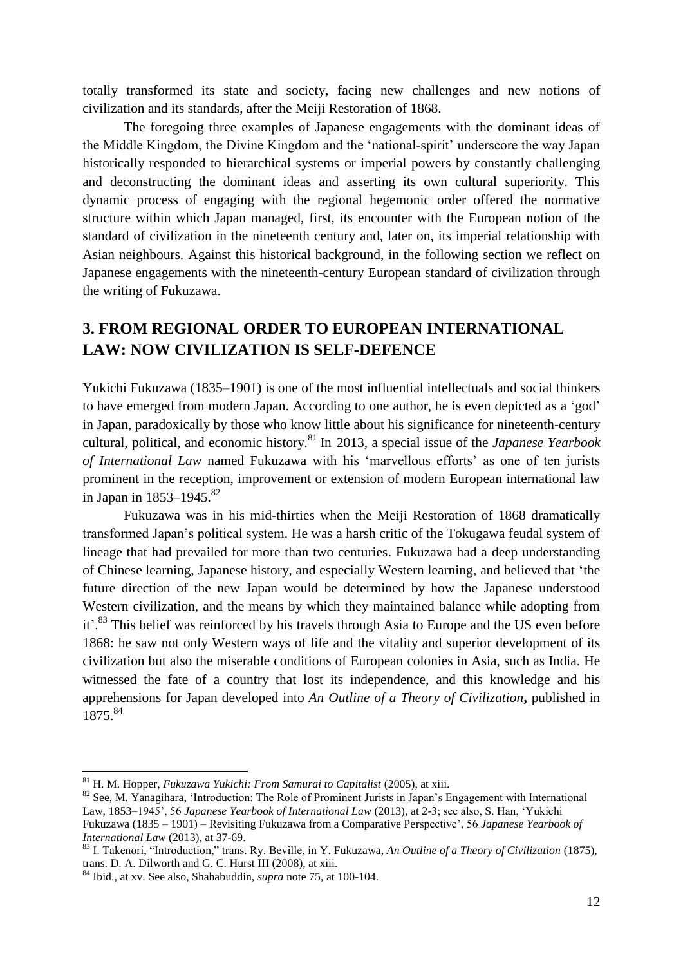totally transformed its state and society, facing new challenges and new notions of civilization and its standards, after the Meiji Restoration of 1868.

The foregoing three examples of Japanese engagements with the dominant ideas of the Middle Kingdom, the Divine Kingdom and the 'national-spirit' underscore the way Japan historically responded to hierarchical systems or imperial powers by constantly challenging and deconstructing the dominant ideas and asserting its own cultural superiority. This dynamic process of engaging with the regional hegemonic order offered the normative structure within which Japan managed, first, its encounter with the European notion of the standard of civilization in the nineteenth century and, later on, its imperial relationship with Asian neighbours. Against this historical background, in the following section we reflect on Japanese engagements with the nineteenth-century European standard of civilization through the writing of Fukuzawa.

## **3. FROM REGIONAL ORDER TO EUROPEAN INTERNATIONAL LAW: NOW CIVILIZATION IS SELF-DEFENCE**

Yukichi Fukuzawa (1835–1901) is one of the most influential intellectuals and social thinkers to have emerged from modern Japan. According to one author, he is even depicted as a 'god' in Japan, paradoxically by those who know little about his significance for nineteenth-century cultural, political, and economic history.<sup>81</sup> In 2013, a special issue of the *Japanese Yearbook of International Law* named Fukuzawa with his 'marvellous efforts' as one of ten jurists prominent in the reception, improvement or extension of modern European international law in Japan in  $1853 - 1945$ .<sup>82</sup>

Fukuzawa was in his mid-thirties when the Meiji Restoration of 1868 dramatically transformed Japan's political system. He was a harsh critic of the Tokugawa feudal system of lineage that had prevailed for more than two centuries. Fukuzawa had a deep understanding of Chinese learning, Japanese history, and especially Western learning, and believed that 'the future direction of the new Japan would be determined by how the Japanese understood Western civilization, and the means by which they maintained balance while adopting from it'.<sup>83</sup> This belief was reinforced by his travels through Asia to Europe and the US even before 1868: he saw not only Western ways of life and the vitality and superior development of its civilization but also the miserable conditions of European colonies in Asia, such as India. He witnessed the fate of a country that lost its independence, and this knowledge and his apprehensions for Japan developed into *An Outline of a Theory of Civilization***,** published in 1875.<sup>84</sup>

<sup>81</sup> H. M. Hopper, *Fukuzawa Yukichi: From Samurai to Capitalist* (2005), at xiii.

<sup>&</sup>lt;sup>82</sup> See, M. Yanagihara, 'Introduction: The Role of Prominent Jurists in Japan's Engagement with International Law, 1853–1945', 56 *Japanese Yearbook of International Law* (2013), at 2-3; see also, S. Han, 'Yukichi Fukuzawa (1835 – 1901) – Revisiting Fukuzawa from a Comparative Perspective', 56 *Japanese Yearbook of International Law* (2013), at 37-69.

<sup>83</sup> I. Takenori, "Introduction," trans. Ry. Beville, in Y. Fukuzawa, *An Outline of a Theory of Civilization* (1875), trans. D. A. Dilworth and G. C. Hurst III (2008), at xiii.

<sup>84</sup> Ibid., at xv. See also, Shahabuddin, *supra* note 75, at 100-104.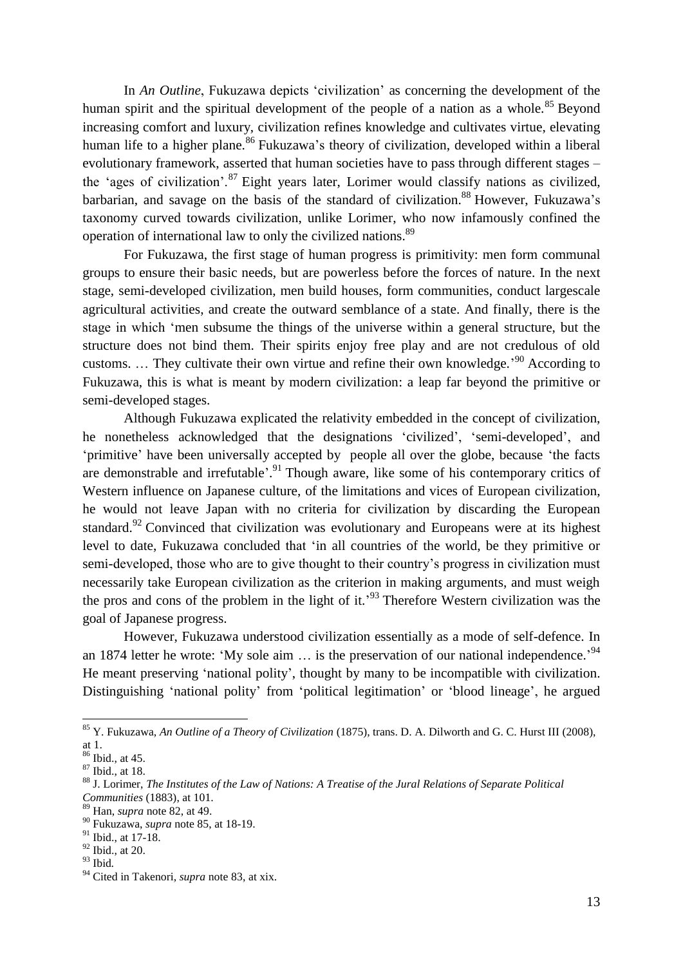In *An Outline*, Fukuzawa depicts 'civilization' as concerning the development of the human spirit and the spiritual development of the people of a nation as a whole.<sup>85</sup> Beyond increasing comfort and luxury, civilization refines knowledge and cultivates virtue, elevating human life to a higher plane.<sup>86</sup> Fukuzawa's theory of civilization, developed within a liberal evolutionary framework, asserted that human societies have to pass through different stages – the 'ages of civilization'. $87$  Eight years later, Lorimer would classify nations as civilized, barbarian, and savage on the basis of the standard of civilization.<sup>88</sup> However, Fukuzawa's taxonomy curved towards civilization, unlike Lorimer, who now infamously confined the operation of international law to only the civilized nations.<sup>89</sup>

For Fukuzawa, the first stage of human progress is primitivity: men form communal groups to ensure their basic needs, but are powerless before the forces of nature. In the next stage, semi-developed civilization, men build houses, form communities, conduct largescale agricultural activities, and create the outward semblance of a state. And finally, there is the stage in which 'men subsume the things of the universe within a general structure, but the structure does not bind them. Their spirits enjoy free play and are not credulous of old customs. ... They cultivate their own virtue and refine their own knowledge.<sup>'90</sup> According to Fukuzawa, this is what is meant by modern civilization: a leap far beyond the primitive or semi-developed stages.

Although Fukuzawa explicated the relativity embedded in the concept of civilization, he nonetheless acknowledged that the designations 'civilized', 'semi-developed', and 'primitive' have been universally accepted by people all over the globe, because 'the facts are demonstrable and irrefutable'.<sup>91</sup> Though aware, like some of his contemporary critics of Western influence on Japanese culture, of the limitations and vices of European civilization, he would not leave Japan with no criteria for civilization by discarding the European standard.<sup>92</sup> Convinced that civilization was evolutionary and Europeans were at its highest level to date, Fukuzawa concluded that 'in all countries of the world, be they primitive or semi-developed, those who are to give thought to their country's progress in civilization must necessarily take European civilization as the criterion in making arguments, and must weigh the pros and cons of the problem in the light of it.<sup>93</sup> Therefore Western civilization was the goal of Japanese progress.

However, Fukuzawa understood civilization essentially as a mode of self-defence. In an 1874 letter he wrote: 'My sole aim  $\ldots$  is the preservation of our national independence.'<sup>94</sup> He meant preserving 'national polity', thought by many to be incompatible with civilization. Distinguishing 'national polity' from 'political legitimation' or 'blood lineage', he argued

<sup>85</sup> Y. Fukuzawa, *An Outline of a Theory of Civilization* (1875), trans. D. A. Dilworth and G. C. Hurst III (2008), at 1.

<sup>86</sup> Ibid., at 45.

<sup>87</sup> Ibid., at 18.

<sup>88</sup> J. Lorimer, *The Institutes of the Law of Nations: A Treatise of the Jural Relations of Separate Political Communities* (1883), at 101.

<sup>89</sup> Han, *supra* note 82, at 49.

<sup>90</sup> Fukuzawa, *supra* note 85, at 18-19.

<sup>91</sup> Ibid., at 17-18.

<sup>92</sup> Ibid., at 20.

<sup>93</sup> Ibid*.*

<sup>94</sup> Cited in Takenori, *supra* note 83, at xix.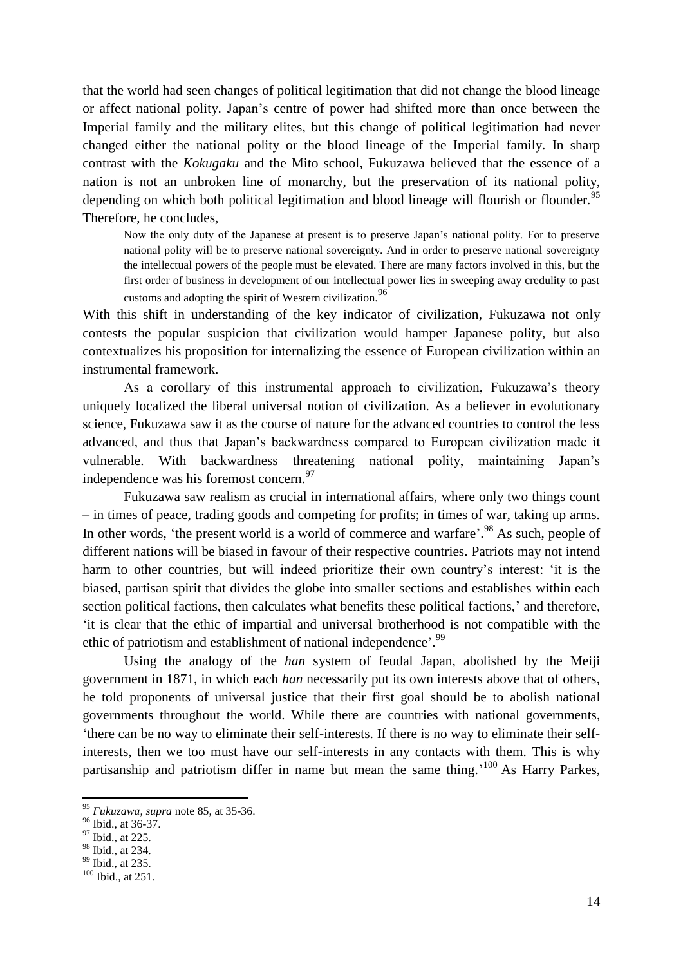that the world had seen changes of political legitimation that did not change the blood lineage or affect national polity. Japan's centre of power had shifted more than once between the Imperial family and the military elites, but this change of political legitimation had never changed either the national polity or the blood lineage of the Imperial family. In sharp contrast with the *Kokugaku* and the Mito school, Fukuzawa believed that the essence of a nation is not an unbroken line of monarchy, but the preservation of its national polity, depending on which both political legitimation and blood lineage will flourish or flounder.<sup>95</sup> Therefore, he concludes,

Now the only duty of the Japanese at present is to preserve Japan's national polity. For to preserve national polity will be to preserve national sovereignty. And in order to preserve national sovereignty the intellectual powers of the people must be elevated. There are many factors involved in this, but the first order of business in development of our intellectual power lies in sweeping away credulity to past customs and adopting the spirit of Western civilization.<sup>96</sup>

With this shift in understanding of the key indicator of civilization, Fukuzawa not only contests the popular suspicion that civilization would hamper Japanese polity, but also contextualizes his proposition for internalizing the essence of European civilization within an instrumental framework.

As a corollary of this instrumental approach to civilization, Fukuzawa's theory uniquely localized the liberal universal notion of civilization. As a believer in evolutionary science, Fukuzawa saw it as the course of nature for the advanced countries to control the less advanced, and thus that Japan's backwardness compared to European civilization made it vulnerable. With backwardness threatening national polity, maintaining Japan's independence was his foremost concern.<sup>97</sup>

Fukuzawa saw realism as crucial in international affairs, where only two things count – in times of peace, trading goods and competing for profits; in times of war, taking up arms. In other words, 'the present world is a world of commerce and warfare'.<sup>98</sup> As such, people of different nations will be biased in favour of their respective countries. Patriots may not intend harm to other countries, but will indeed prioritize their own country's interest: 'it is the biased, partisan spirit that divides the globe into smaller sections and establishes within each section political factions, then calculates what benefits these political factions,' and therefore, 'it is clear that the ethic of impartial and universal brotherhood is not compatible with the ethic of patriotism and establishment of national independence'.<sup>99</sup>

Using the analogy of the *han* system of feudal Japan, abolished by the Meiji government in 1871, in which each *han* necessarily put its own interests above that of others, he told proponents of universal justice that their first goal should be to abolish national governments throughout the world. While there are countries with national governments, 'there can be no way to eliminate their self-interests. If there is no way to eliminate their selfinterests, then we too must have our self-interests in any contacts with them. This is why partisanship and patriotism differ in name but mean the same thing.<sup>'100</sup> As Harry Parkes,

<sup>95</sup> *Fukuzawa, supra* note 85, at 35-36.

<sup>&</sup>lt;sup>96</sup> Ibid., at 36-37.

<sup>97</sup> Ibid., at 225.

<sup>98</sup> Ibid., at 234.

<sup>99</sup> Ibid., at 235.

<sup>&</sup>lt;sup>100</sup> Ibid., at 251.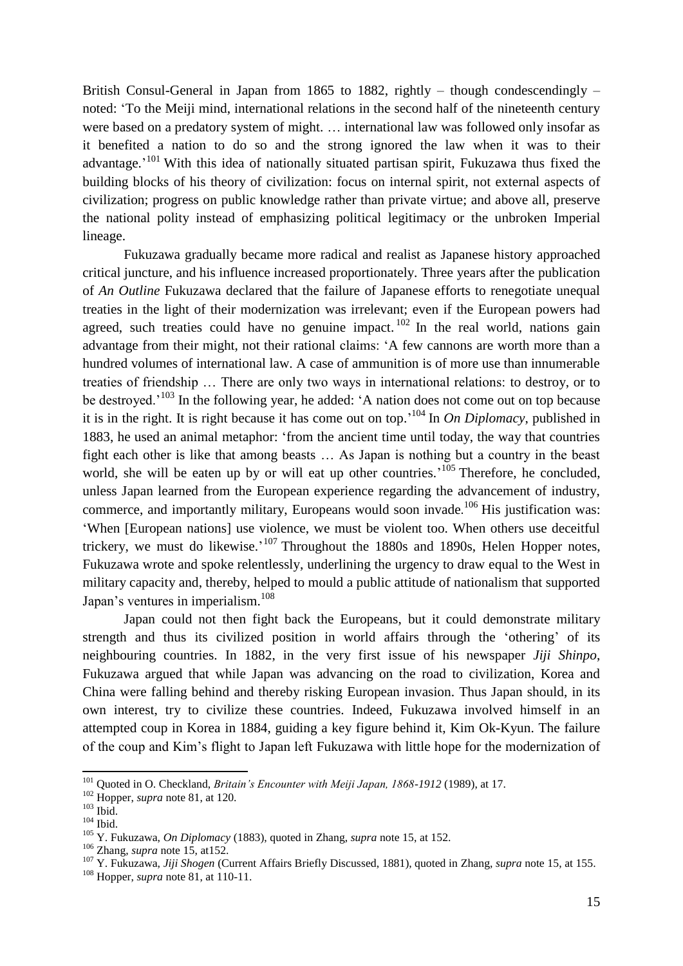British Consul-General in Japan from 1865 to 1882, rightly – though condescendingly – noted: 'To the Meiji mind, international relations in the second half of the nineteenth century were based on a predatory system of might. … international law was followed only insofar as it benefited a nation to do so and the strong ignored the law when it was to their advantage.<sup>'101</sup> With this idea of nationally situated partisan spirit, Fukuzawa thus fixed the building blocks of his theory of civilization: focus on internal spirit, not external aspects of civilization; progress on public knowledge rather than private virtue; and above all, preserve the national polity instead of emphasizing political legitimacy or the unbroken Imperial lineage.

Fukuzawa gradually became more radical and realist as Japanese history approached critical juncture, and his influence increased proportionately. Three years after the publication of *An Outline* Fukuzawa declared that the failure of Japanese efforts to renegotiate unequal treaties in the light of their modernization was irrelevant; even if the European powers had agreed, such treaties could have no genuine impact.<sup>102</sup> In the real world, nations gain advantage from their might, not their rational claims: 'A few cannons are worth more than a hundred volumes of international law. A case of ammunition is of more use than innumerable treaties of friendship … There are only two ways in international relations: to destroy, or to be destroyed.<sup>'103</sup> In the following year, he added: 'A nation does not come out on top because it is in the right. It is right because it has come out on top.' <sup>104</sup> In *On Diplomacy*, published in 1883, he used an animal metaphor: 'from the ancient time until today, the way that countries fight each other is like that among beasts … As Japan is nothing but a country in the beast world, she will be eaten up by or will eat up other countries.<sup>'105</sup> Therefore, he concluded, unless Japan learned from the European experience regarding the advancement of industry, commerce, and importantly military, Europeans would soon invade.<sup>106</sup> His justification was: 'When [European nations] use violence, we must be violent too. When others use deceitful trickery, we must do likewise.<sup>'107</sup> Throughout the 1880s and 1890s, Helen Hopper notes, Fukuzawa wrote and spoke relentlessly, underlining the urgency to draw equal to the West in military capacity and, thereby, helped to mould a public attitude of nationalism that supported Japan's ventures in imperialism.<sup>108</sup>

Japan could not then fight back the Europeans, but it could demonstrate military strength and thus its civilized position in world affairs through the 'othering' of its neighbouring countries. In 1882, in the very first issue of his newspaper *Jiji Shinpo*, Fukuzawa argued that while Japan was advancing on the road to civilization, Korea and China were falling behind and thereby risking European invasion. Thus Japan should, in its own interest, try to civilize these countries. Indeed, Fukuzawa involved himself in an attempted coup in Korea in 1884, guiding a key figure behind it, Kim Ok-Kyun. The failure of the coup and Kim's flight to Japan left Fukuzawa with little hope for the modernization of

<sup>101</sup> Quoted in O. Checkland, *Britain's Encounter with Meiji Japan, 1868-1912* (1989), at 17.

<sup>102</sup> Hopper, *supra* note 81, at 120.

 $^{103}$  Ibid.

 $104$  Ibid.

<sup>105</sup> Y. Fukuzawa, *On Diplomacy* (1883), quoted in Zhang, *supra* note 15, at 152.

<sup>106</sup> Zhang, *supra* note 15, at152.

<sup>107</sup> Y. Fukuzawa, *Jiji Shogen* (Current Affairs Briefly Discussed, 1881), quoted in Zhang, *supra* note 15, at 155.

<sup>108</sup> Hopper, *supra* note 81, at 110-11.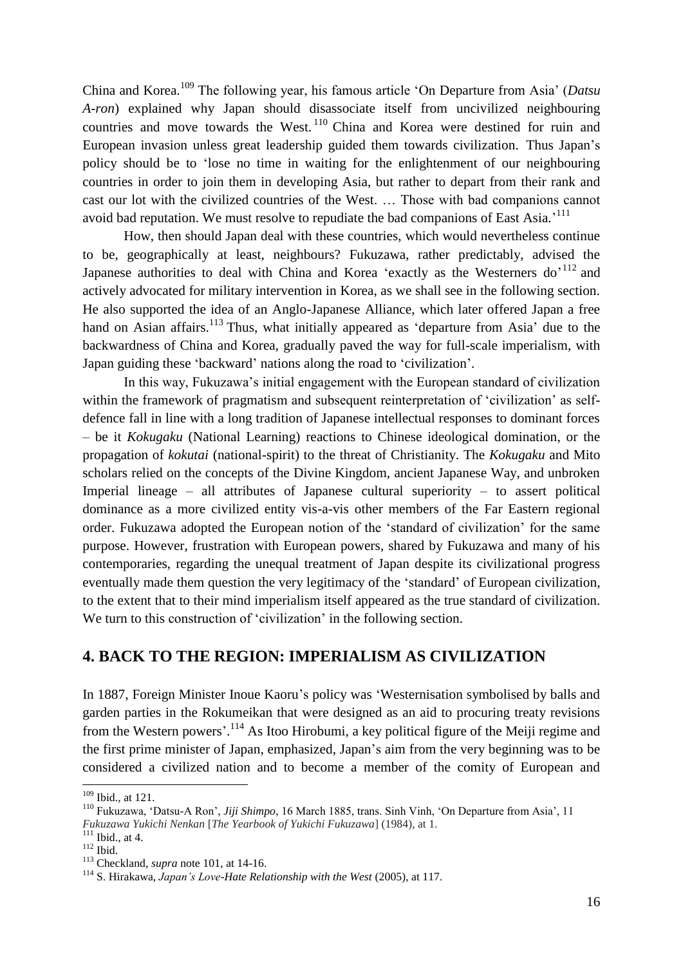China and Korea.<sup>109</sup> The following year, his famous article 'On Departure from Asia' (*Datsu A-ron*) explained why Japan should disassociate itself from uncivilized neighbouring countries and move towards the West.<sup>110</sup> China and Korea were destined for ruin and European invasion unless great leadership guided them towards civilization. Thus Japan's policy should be to 'lose no time in waiting for the enlightenment of our neighbouring countries in order to join them in developing Asia, but rather to depart from their rank and cast our lot with the civilized countries of the West. … Those with bad companions cannot avoid bad reputation. We must resolve to repudiate the bad companions of East Asia.<sup>'111</sup>

How, then should Japan deal with these countries, which would nevertheless continue to be, geographically at least, neighbours? Fukuzawa, rather predictably, advised the Japanese authorities to deal with China and Korea 'exactly as the Westerners do'<sup>112</sup> and actively advocated for military intervention in Korea, as we shall see in the following section. He also supported the idea of an Anglo-Japanese Alliance, which later offered Japan a free hand on Asian affairs.<sup>113</sup> Thus, what initially appeared as 'departure from Asia' due to the backwardness of China and Korea, gradually paved the way for full-scale imperialism, with Japan guiding these 'backward' nations along the road to 'civilization'.

In this way, Fukuzawa's initial engagement with the European standard of civilization within the framework of pragmatism and subsequent reinterpretation of 'civilization' as selfdefence fall in line with a long tradition of Japanese intellectual responses to dominant forces – be it *Kokugaku* (National Learning) reactions to Chinese ideological domination, or the propagation of *kokutai* (national-spirit) to the threat of Christianity. The *Kokugaku* and Mito scholars relied on the concepts of the Divine Kingdom, ancient Japanese Way, and unbroken Imperial lineage – all attributes of Japanese cultural superiority – to assert political dominance as a more civilized entity vis-a-vis other members of the Far Eastern regional order. Fukuzawa adopted the European notion of the 'standard of civilization' for the same purpose. However, frustration with European powers, shared by Fukuzawa and many of his contemporaries, regarding the unequal treatment of Japan despite its civilizational progress eventually made them question the very legitimacy of the 'standard' of European civilization, to the extent that to their mind imperialism itself appeared as the true standard of civilization. We turn to this construction of 'civilization' in the following section.

## **4. BACK TO THE REGION: IMPERIALISM AS CIVILIZATION**

In 1887, Foreign Minister Inoue Kaoru's policy was 'Westernisation symbolised by balls and garden parties in the Rokumeikan that were designed as an aid to procuring treaty revisions from the Western powers'.<sup>114</sup> As Itoo Hirobumi, a key political figure of the Meiji regime and the first prime minister of Japan, emphasized, Japan's aim from the very beginning was to be considered a civilized nation and to become a member of the comity of European and

 $109$  Ibid., at 121.

<sup>110</sup> Fukuzawa, 'Datsu-A Ron', *Jiji Shimpo*, 16 March 1885, trans. Sinh Vinh, 'On Departure from Asia', 11 *Fukuzawa Yukichi Nenkan* [*The Yearbook of Yukichi Fukuzawa*] (1984), at 1.

 $\overline{111}$  Ibid., at 4.

 $112$  Ibid.

<sup>113</sup> Checkland, *supra* note 101, at 14-16.

<sup>114</sup> S. Hirakawa, *Japan's Love-Hate Relationship with the West* (2005), at 117.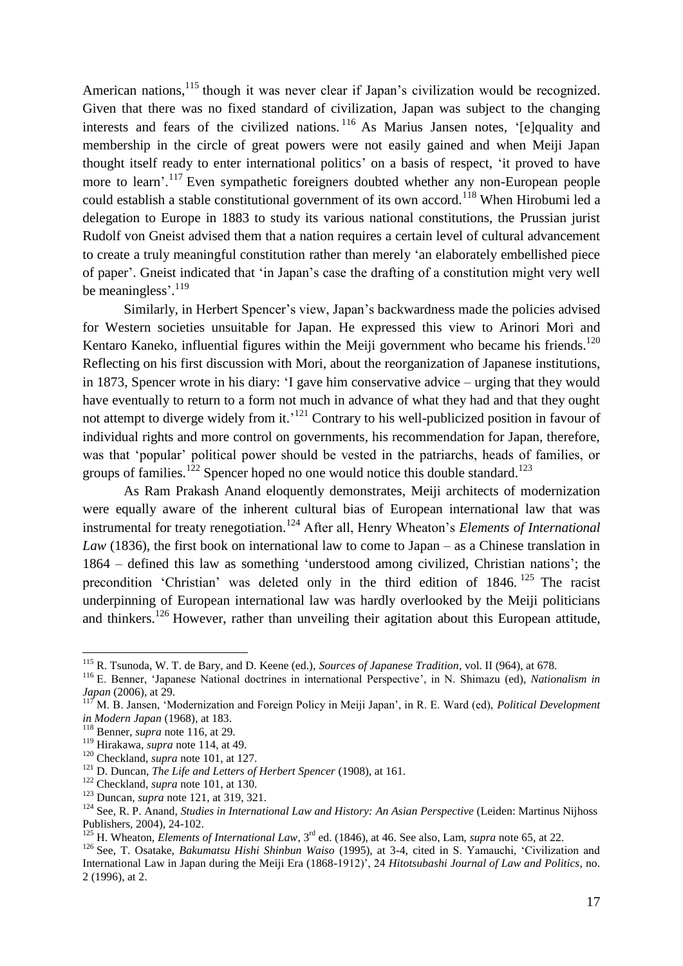American nations,<sup>115</sup> though it was never clear if Japan's civilization would be recognized. Given that there was no fixed standard of civilization, Japan was subject to the changing interests and fears of the civilized nations.<sup>116</sup> As Marius Jansen notes, '[e]quality and membership in the circle of great powers were not easily gained and when Meiji Japan thought itself ready to enter international politics' on a basis of respect, 'it proved to have more to learn'.<sup>117</sup> Even sympathetic foreigners doubted whether any non-European people could establish a stable constitutional government of its own accord.<sup>118</sup> When Hirobumi led a delegation to Europe in 1883 to study its various national constitutions, the Prussian jurist Rudolf von Gneist advised them that a nation requires a certain level of cultural advancement to create a truly meaningful constitution rather than merely 'an elaborately embellished piece of paper'. Gneist indicated that 'in Japan's case the drafting of a constitution might very well be meaningless'.<sup>119</sup>

Similarly, in Herbert Spencer's view, Japan's backwardness made the policies advised for Western societies unsuitable for Japan. He expressed this view to Arinori Mori and Kentaro Kaneko, influential figures within the Meiji government who became his friends.<sup>120</sup> Reflecting on his first discussion with Mori, about the reorganization of Japanese institutions, in 1873, Spencer wrote in his diary: 'I gave him conservative advice – urging that they would have eventually to return to a form not much in advance of what they had and that they ought not attempt to diverge widely from it.<sup>'121</sup> Contrary to his well-publicized position in favour of individual rights and more control on governments, his recommendation for Japan, therefore, was that 'popular' political power should be vested in the patriarchs, heads of families, or groups of families.<sup>122</sup> Spencer hoped no one would notice this double standard.<sup>123</sup>

As Ram Prakash Anand eloquently demonstrates, Meiji architects of modernization were equally aware of the inherent cultural bias of European international law that was instrumental for treaty renegotiation. <sup>124</sup> After all, Henry Wheaton's *Elements of International Law* (1836), the first book on international law to come to Japan – as a Chinese translation in 1864 – defined this law as something 'understood among civilized, Christian nations'; the precondition 'Christian' was deleted only in the third edition of 1846. <sup>125</sup> The racist underpinning of European international law was hardly overlooked by the Meiji politicians and thinkers.<sup>126</sup> However, rather than unveiling their agitation about this European attitude,

<sup>115</sup> R. Tsunoda, W. T. de Bary, and D. Keene (ed.), *Sources of Japanese Tradition*, vol. II (964), at 678.

<sup>116</sup> E. Benner, 'Japanese National doctrines in international Perspective', in N. Shimazu (ed), *Nationalism in Japan* (2006), at 29.

<sup>117</sup> M. B. Jansen, 'Modernization and Foreign Policy in Meiji Japan', in R. E. Ward (ed), *Political Development in Modern Japan* (1968), at 183.

<sup>118</sup> Benner, *supra* note 116, at 29.

<sup>119</sup> Hirakawa, *supra* note 114, at 49.

<sup>120</sup> Checkland, *supra* note 101, at 127.

<sup>121</sup> D. Duncan, *The Life and Letters of Herbert Spencer* (1908), at 161.

<sup>122</sup> Checkland, *supra* note 101, at 130.

<sup>123</sup> Duncan, *supra* note 121, at 319, 321.

<sup>124</sup> See, R. P. Anand, *Studies in International Law and History: An Asian Perspective* (Leiden: Martinus Nijhoss Publishers, 2004), 24-102.

<sup>125</sup> H. Wheaton, *Elements of International Law*, 3rd ed. (1846), at 46. See also, Lam, *supra* note 65, at 22.

<sup>126</sup> See, T. Osatake, *Bakumatsu Hishi Shinbun Waiso* (1995), at 3-4, cited in S. Yamauchi, 'Civilization and International Law in Japan during the Meiji Era (1868-1912)', 24 *Hitotsubashi Journal of Law and Politics*, no. 2 (1996), at 2.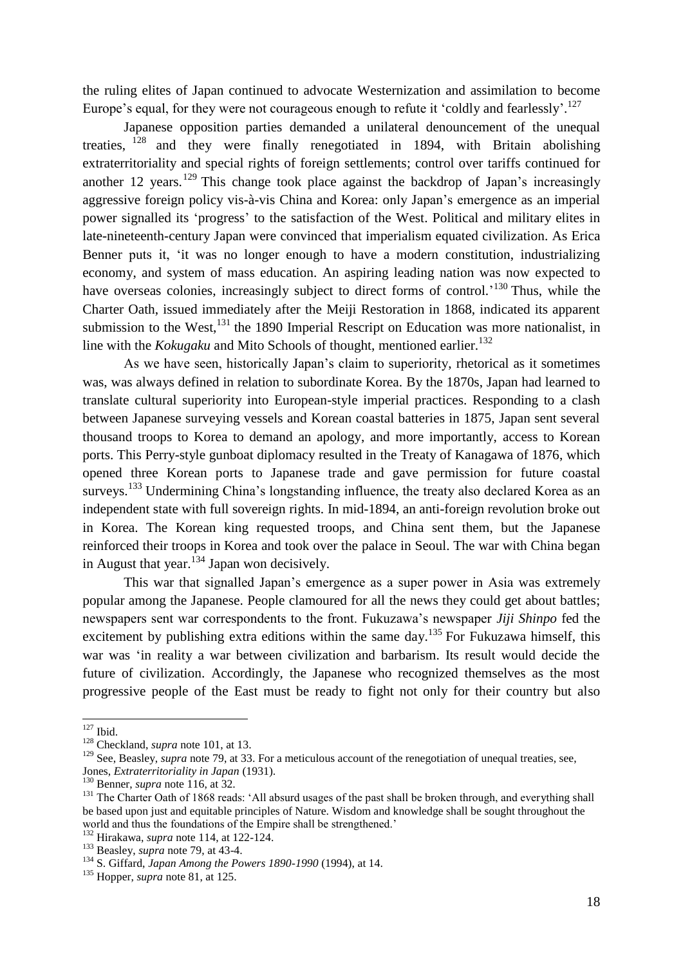the ruling elites of Japan continued to advocate Westernization and assimilation to become Europe's equal, for they were not courageous enough to refute it 'coldly and fearlessly'.<sup>127</sup>

Japanese opposition parties demanded a unilateral denouncement of the unequal treaties,  $128$  and they were finally renegotiated in 1894, with Britain abolishing extraterritoriality and special rights of foreign settlements; control over tariffs continued for another 12 years.<sup>129</sup> This change took place against the backdrop of Japan's increasingly aggressive foreign policy vis-à-vis China and Korea: only Japan's emergence as an imperial power signalled its 'progress' to the satisfaction of the West. Political and military elites in late-nineteenth-century Japan were convinced that imperialism equated civilization. As Erica Benner puts it, 'it was no longer enough to have a modern constitution, industrializing economy, and system of mass education. An aspiring leading nation was now expected to have overseas colonies, increasingly subject to direct forms of control.<sup>130</sup> Thus, while the Charter Oath, issued immediately after the Meiji Restoration in 1868, indicated its apparent submission to the West,  $^{131}$  the 1890 Imperial Rescript on Education was more nationalist, in line with the *Kokugaku* and Mito Schools of thought, mentioned earlier.<sup>132</sup>

As we have seen, historically Japan's claim to superiority, rhetorical as it sometimes was, was always defined in relation to subordinate Korea. By the 1870s, Japan had learned to translate cultural superiority into European-style imperial practices. Responding to a clash between Japanese surveying vessels and Korean coastal batteries in 1875, Japan sent several thousand troops to Korea to demand an apology, and more importantly, access to Korean ports. This Perry-style gunboat diplomacy resulted in the Treaty of Kanagawa of 1876, which opened three Korean ports to Japanese trade and gave permission for future coastal surveys.<sup>133</sup> Undermining China's longstanding influence, the treaty also declared Korea as an independent state with full sovereign rights. In mid-1894, an anti-foreign revolution broke out in Korea. The Korean king requested troops, and China sent them, but the Japanese reinforced their troops in Korea and took over the palace in Seoul. The war with China began in August that year.  $134$  Japan won decisively.

This war that signalled Japan's emergence as a super power in Asia was extremely popular among the Japanese. People clamoured for all the news they could get about battles; newspapers sent war correspondents to the front. Fukuzawa's newspaper *Jiji Shinpo* fed the excitement by publishing extra editions within the same day.<sup>135</sup> For Fukuzawa himself, this war was 'in reality a war between civilization and barbarism. Its result would decide the future of civilization. Accordingly, the Japanese who recognized themselves as the most progressive people of the East must be ready to fight not only for their country but also

 $127$  Ibid.

<sup>128</sup> Checkland, *supra* note 101, at 13.

<sup>&</sup>lt;sup>129</sup> See, Beasley, *supra* note 79, at 33. For a meticulous account of the renegotiation of unequal treaties, see, Jones, *Extraterritoriality in Japan* (1931).

<sup>130</sup> Benner, *supra* note 116, at 32.

<sup>&</sup>lt;sup>131</sup> The Charter Oath of 1868 reads: 'All absurd usages of the past shall be broken through, and everything shall be based upon just and equitable principles of Nature. Wisdom and knowledge shall be sought throughout the world and thus the foundations of the Empire shall be strengthened.'

<sup>132</sup> Hirakawa, *supra* note 114, at 122-124.

<sup>133</sup> Beasley, *supra* note 79, at 43-4.

<sup>134</sup> S. Giffard, *Japan Among the Powers 1890-1990* (1994), at 14.

<sup>135</sup> Hopper, *supra* note 81, at 125.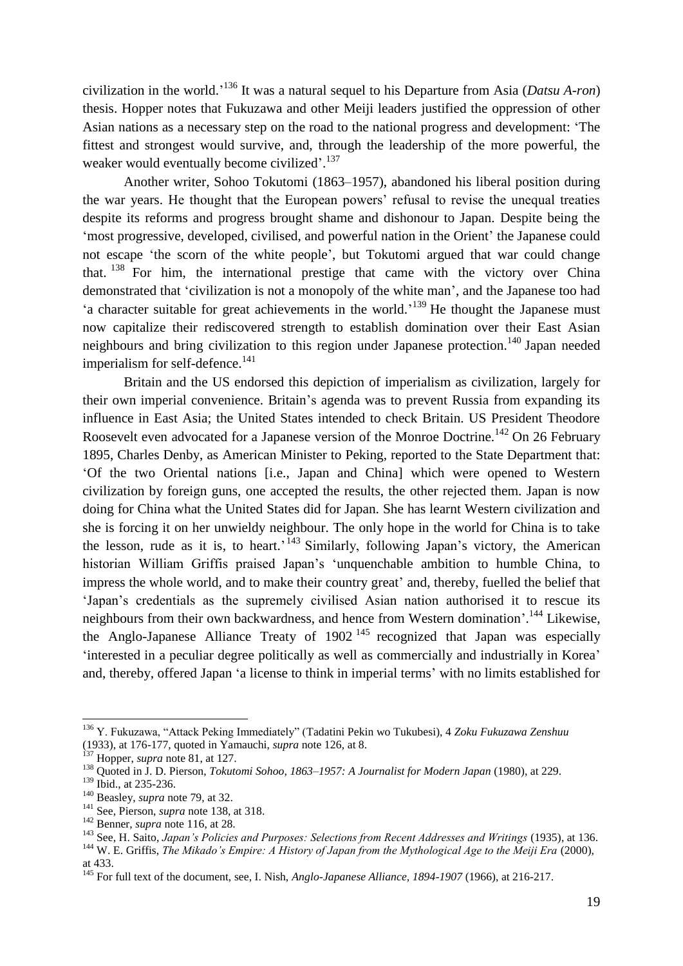civilization in the world.' <sup>136</sup> It was a natural sequel to his Departure from Asia (*Datsu A-ron*) thesis. Hopper notes that Fukuzawa and other Meiji leaders justified the oppression of other Asian nations as a necessary step on the road to the national progress and development: 'The fittest and strongest would survive, and, through the leadership of the more powerful, the weaker would eventually become civilized'.<sup>137</sup>

Another writer, Sohoo Tokutomi (1863–1957), abandoned his liberal position during the war years. He thought that the European powers' refusal to revise the unequal treaties despite its reforms and progress brought shame and dishonour to Japan. Despite being the 'most progressive, developed, civilised, and powerful nation in the Orient' the Japanese could not escape 'the scorn of the white people', but Tokutomi argued that war could change that.  $138$  For him, the international prestige that came with the victory over China demonstrated that 'civilization is not a monopoly of the white man', and the Japanese too had 'a character suitable for great achievements in the world.<sup>'139</sup> He thought the Japanese must now capitalize their rediscovered strength to establish domination over their East Asian neighbours and bring civilization to this region under Japanese protection.<sup>140</sup> Japan needed imperialism for self-defence.<sup>141</sup>

Britain and the US endorsed this depiction of imperialism as civilization, largely for their own imperial convenience. Britain's agenda was to prevent Russia from expanding its influence in East Asia; the United States intended to check Britain. US President Theodore Roosevelt even advocated for a Japanese version of the Monroe Doctrine.<sup>142</sup> On 26 February 1895, Charles Denby, as American Minister to Peking, reported to the State Department that: 'Of the two Oriental nations [i.e., Japan and China] which were opened to Western civilization by foreign guns, one accepted the results, the other rejected them. Japan is now doing for China what the United States did for Japan. She has learnt Western civilization and she is forcing it on her unwieldy neighbour. The only hope in the world for China is to take the lesson, rude as it is, to heart.<sup>143</sup> Similarly, following Japan's victory, the American historian William Griffis praised Japan's 'unquenchable ambition to humble China, to impress the whole world, and to make their country great' and, thereby, fuelled the belief that 'Japan's credentials as the supremely civilised Asian nation authorised it to rescue its neighbours from their own backwardness, and hence from Western domination'.<sup>144</sup> Likewise, the Anglo-Japanese Alliance Treaty of  $1902<sup>145</sup>$  recognized that Japan was especially 'interested in a peculiar degree politically as well as commercially and industrially in Korea' and, thereby, offered Japan 'a license to think in imperial terms' with no limits established for

<sup>136</sup> Y. Fukuzawa, "Attack Peking Immediately" (Tadatini Pekin wo Tukubesi), 4 *Zoku Fukuzawa Zenshuu* (1933), at 176-177, quoted in Yamauchi, *supra* note 126, at 8.

<sup>137</sup> Hopper, *supra* note 81, at 127.

<sup>138</sup> Quoted in J. D. Pierson, *Tokutomi Sohoo, 1863–1957: A Journalist for Modern Japan* (1980), at 229.

<sup>&</sup>lt;sup>139</sup> Ibid., at 235-236.

<sup>140</sup> Beasley, *supra* note 79, at 32.

<sup>141</sup> See, Pierson, *supra* note 138, at 318.

<sup>142</sup> Benner, *supra* note 116, at 28.

<sup>143</sup> See, H. Saito, *Japan's Policies and Purposes: Selections from Recent Addresses and Writings* (1935), at 136.

<sup>144</sup> W. E. Griffis, *The Mikado's Empire: A History of Japan from the Mythological Age to the Meiji Era* (2000), at 433.

<sup>145</sup> For full text of the document, see, I. Nish, *Anglo-Japanese Alliance, 1894-1907* (1966), at 216-217.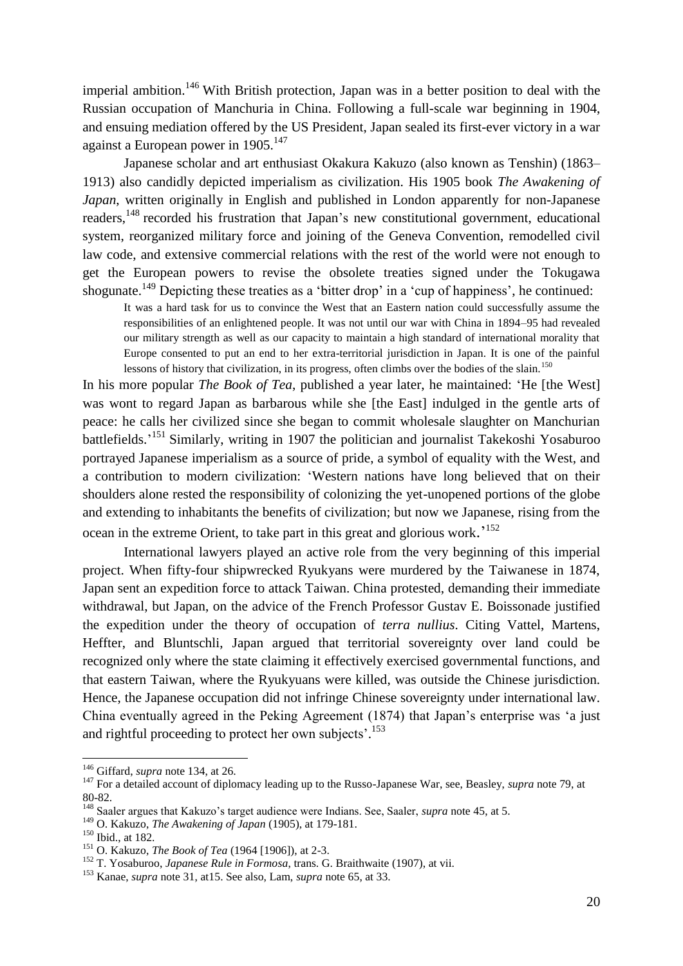imperial ambition.<sup>146</sup> With British protection, Japan was in a better position to deal with the Russian occupation of Manchuria in China. Following a full-scale war beginning in 1904, and ensuing mediation offered by the US President, Japan sealed its first-ever victory in a war against a European power in  $1905$ .<sup>147</sup>

Japanese scholar and art enthusiast Okakura Kakuzo (also known as Tenshin) (1863– 1913) also candidly depicted imperialism as civilization. His 1905 book *The Awakening of Japan*, written originally in English and published in London apparently for non-Japanese readers,<sup>148</sup> recorded his frustration that Japan's new constitutional government, educational system, reorganized military force and joining of the Geneva Convention, remodelled civil law code, and extensive commercial relations with the rest of the world were not enough to get the European powers to revise the obsolete treaties signed under the Tokugawa shogunate.<sup>149</sup> Depicting these treaties as a 'bitter drop' in a 'cup of happiness', he continued:

It was a hard task for us to convince the West that an Eastern nation could successfully assume the responsibilities of an enlightened people. It was not until our war with China in 1894–95 had revealed our military strength as well as our capacity to maintain a high standard of international morality that Europe consented to put an end to her extra-territorial jurisdiction in Japan. It is one of the painful lessons of history that civilization, in its progress, often climbs over the bodies of the slain.<sup>150</sup>

In his more popular *The Book of Tea*, published a year later, he maintained: 'He [the West] was wont to regard Japan as barbarous while she [the East] indulged in the gentle arts of peace: he calls her civilized since she began to commit wholesale slaughter on Manchurian battlefields.<sup>'151</sup> Similarly, writing in 1907 the politician and journalist Takekoshi Yosaburoo portrayed Japanese imperialism as a source of pride, a symbol of equality with the West, and a contribution to modern civilization: 'Western nations have long believed that on their shoulders alone rested the responsibility of colonizing the yet-unopened portions of the globe and extending to inhabitants the benefits of civilization; but now we Japanese, rising from the ocean in the extreme Orient, to take part in this great and glorious work.<sup>'152</sup>

International lawyers played an active role from the very beginning of this imperial project. When fifty-four shipwrecked Ryukyans were murdered by the Taiwanese in 1874, Japan sent an expedition force to attack Taiwan. China protested, demanding their immediate withdrawal, but Japan, on the advice of the French Professor Gustav E. Boissonade justified the expedition under the theory of occupation of *terra nullius*. Citing Vattel, Martens, Heffter, and Bluntschli, Japan argued that territorial sovereignty over land could be recognized only where the state claiming it effectively exercised governmental functions, and that eastern Taiwan, where the Ryukyuans were killed, was outside the Chinese jurisdiction. Hence, the Japanese occupation did not infringe Chinese sovereignty under international law. China eventually agreed in the Peking Agreement (1874) that Japan's enterprise was 'a just and rightful proceeding to protect her own subjects'.<sup>153</sup>

 $\overline{a}$ 

<sup>146</sup> Giffard, *supra* note 134, at 26.

<sup>147</sup> For a detailed account of diplomacy leading up to the Russo-Japanese War, see, Beasley, *supra* note 79, at 80-82.

<sup>148</sup> Saaler argues that Kakuzo's target audience were Indians. See, Saaler, *supra* note 45, at 5.

<sup>149</sup> O. Kakuzo, *The Awakening of Japan* (1905), at 179-181.

<sup>&</sup>lt;sup>150</sup> Ibid., at 182.

<sup>151</sup> O. Kakuzo, *The Book of Tea* (1964 [1906]), at 2-3.

<sup>152</sup> T. Yosaburoo, *Japanese Rule in Formosa*, trans. G. Braithwaite (1907), at vii.

<sup>153</sup> Kanae, *supra* note 31, at15. See also, Lam, *supra* note 65, at 33.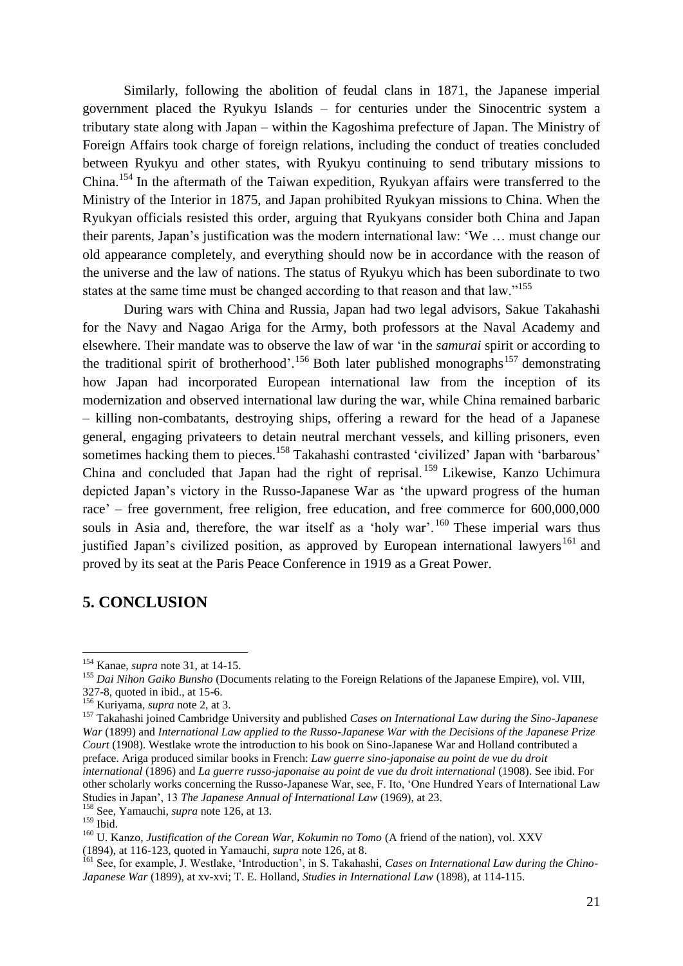Similarly, following the abolition of feudal clans in 1871, the Japanese imperial government placed the Ryukyu Islands – for centuries under the Sinocentric system a tributary state along with Japan – within the Kagoshima prefecture of Japan. The Ministry of Foreign Affairs took charge of foreign relations, including the conduct of treaties concluded between Ryukyu and other states, with Ryukyu continuing to send tributary missions to China.<sup>154</sup> In the aftermath of the Taiwan expedition, Ryukyan affairs were transferred to the Ministry of the Interior in 1875, and Japan prohibited Ryukyan missions to China. When the Ryukyan officials resisted this order, arguing that Ryukyans consider both China and Japan their parents, Japan's justification was the modern international law: 'We … must change our old appearance completely, and everything should now be in accordance with the reason of the universe and the law of nations. The status of Ryukyu which has been subordinate to two states at the same time must be changed according to that reason and that law."<sup>155</sup>

During wars with China and Russia, Japan had two legal advisors, Sakue Takahashi for the Navy and Nagao Ariga for the Army, both professors at the Naval Academy and elsewhere. Their mandate was to observe the law of war 'in the *samurai* spirit or according to the traditional spirit of brotherhood'.<sup>156</sup> Both later published monographs<sup>157</sup> demonstrating how Japan had incorporated European international law from the inception of its modernization and observed international law during the war, while China remained barbaric – killing non-combatants, destroying ships, offering a reward for the head of a Japanese general, engaging privateers to detain neutral merchant vessels, and killing prisoners, even sometimes hacking them to pieces.<sup>158</sup> Takahashi contrasted 'civilized' Japan with 'barbarous' China and concluded that Japan had the right of reprisal. <sup>159</sup> Likewise, Kanzo Uchimura depicted Japan's victory in the Russo-Japanese War as 'the upward progress of the human race' – free government, free religion, free education, and free commerce for 600,000,000 souls in Asia and, therefore, the war itself as a 'holy war'.<sup>160</sup> These imperial wars thus justified Japan's civilized position, as approved by European international lawyers<sup>161</sup> and proved by its seat at the Paris Peace Conference in 1919 as a Great Power.

## **5. CONCLUSION**

<sup>154</sup> Kanae, *supra* note 31, at 14-15.

<sup>&</sup>lt;sup>155</sup> Dai Nihon Gaiko Bunsho (Documents relating to the Foreign Relations of the Japanese Empire), vol. VIII, 327-8, quoted in ibid., at 15-6.

<sup>156</sup> Kuriyama, *supra* note 2, at 3.

<sup>157</sup> Takahashi joined Cambridge University and published *Cases on International Law during the Sino-Japanese War* (1899) and *International Law applied to the Russo-Japanese War with the Decisions of the Japanese Prize Court* (1908). Westlake wrote the introduction to his book on Sino-Japanese War and Holland contributed a preface. Ariga produced similar books in French: *Law guerre sino-japonaise au point de vue du droit international* (1896) and *La guerre russo-japonaise au point de vue du droit international* (1908). See ibid. For other scholarly works concerning the Russo-Japanese War, see, F. Ito, 'One Hundred Years of International Law Studies in Japan', 13 *The Japanese Annual of International Law* (1969), at 23.

<sup>158</sup> See, Yamauchi, *supra* note 126, at 13.

 $159$  Ibid.

<sup>160</sup> U. Kanzo, *Justification of the Corean War, Kokumin no Tomo* (A friend of the nation), vol. XXV (1894), at 116-123, quoted in Yamauchi, *supra* note 126, at 8.

<sup>161</sup> See, for example, J. Westlake, 'Introduction', in S. Takahashi, *Cases on International Law during the Chino-Japanese War* (1899), at xv-xvi; T. E. Holland, *Studies in International Law* (1898), at 114-115.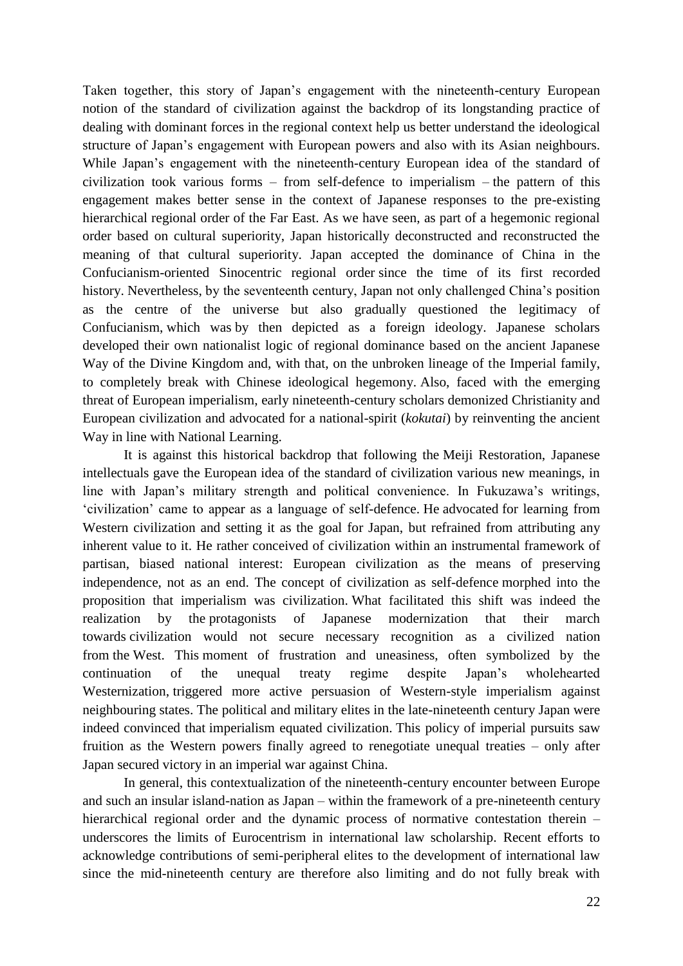Taken together, this story of Japan's engagement with the nineteenth-century European notion of the standard of civilization against the backdrop of its longstanding practice of dealing with dominant forces in the regional context help us better understand the ideological structure of Japan's engagement with European powers and also with its Asian neighbours. While Japan's engagement with the nineteenth-century European idea of the standard of civilization took various forms – from self-defence to imperialism – the pattern of this engagement makes better sense in the context of Japanese responses to the pre-existing hierarchical regional order of the Far East. As we have seen, as part of a hegemonic regional order based on cultural superiority, Japan historically deconstructed and reconstructed the meaning of that cultural superiority. Japan accepted the dominance of China in the Confucianism-oriented Sinocentric regional order since the time of its first recorded history. Nevertheless, by the seventeenth century, Japan not only challenged China's position as the centre of the universe but also gradually questioned the legitimacy of Confucianism, which was by then depicted as a foreign ideology. Japanese scholars developed their own nationalist logic of regional dominance based on the ancient Japanese Way of the Divine Kingdom and, with that, on the unbroken lineage of the Imperial family, to completely break with Chinese ideological hegemony. Also, faced with the emerging threat of European imperialism, early nineteenth-century scholars demonized Christianity and European civilization and advocated for a national-spirit (*kokutai*) by reinventing the ancient Way in line with National Learning.

It is against this historical backdrop that following the Meiji Restoration, Japanese intellectuals gave the European idea of the standard of civilization various new meanings, in line with Japan's military strength and political convenience. In Fukuzawa's writings, 'civilization' came to appear as a language of self-defence. He advocated for learning from Western civilization and setting it as the goal for Japan, but refrained from attributing any inherent value to it. He rather conceived of civilization within an instrumental framework of partisan, biased national interest: European civilization as the means of preserving independence, not as an end. The concept of civilization as self-defence morphed into the proposition that imperialism was civilization. What facilitated this shift was indeed the realization by the protagonists of Japanese modernization that their march towards civilization would not secure necessary recognition as a civilized nation from the West. This moment of frustration and uneasiness, often symbolized by the continuation of the unequal treaty regime despite Japan's wholehearted Westernization, triggered more active persuasion of Western-style imperialism against neighbouring states. The political and military elites in the late-nineteenth century Japan were indeed convinced that imperialism equated civilization. This policy of imperial pursuits saw fruition as the Western powers finally agreed to renegotiate unequal treaties – only after Japan secured victory in an imperial war against China.

In general, this contextualization of the nineteenth-century encounter between Europe and such an insular island-nation as Japan – within the framework of a pre-nineteenth century hierarchical regional order and the dynamic process of normative contestation therein – underscores the limits of Eurocentrism in international law scholarship. Recent efforts to acknowledge contributions of semi-peripheral elites to the development of international law since the mid-nineteenth century are therefore also limiting and do not fully break with